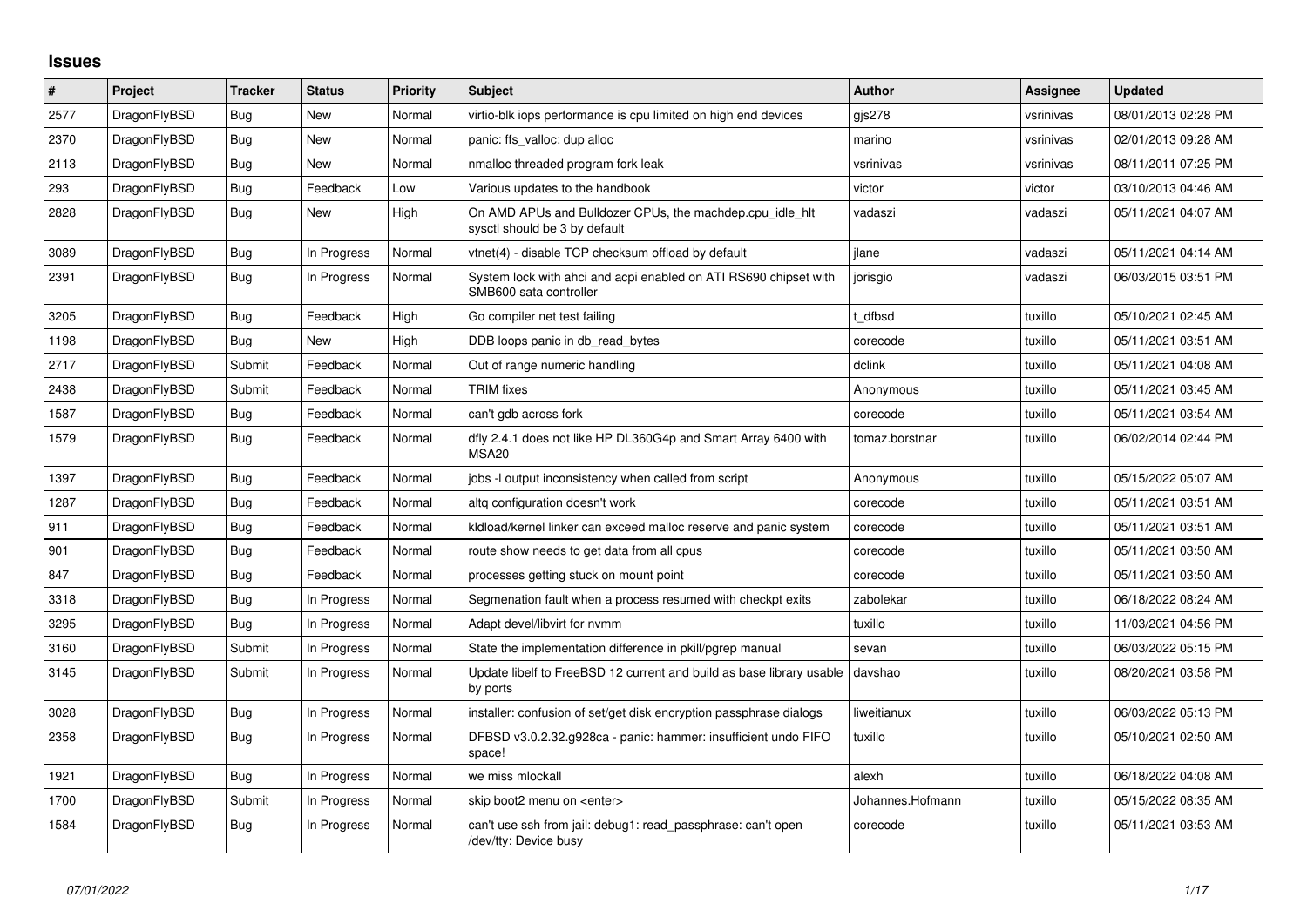## **Issues**

| $\vert$ # | Project      | <b>Tracker</b> | <b>Status</b> | Priority | <b>Subject</b>                                                                             | <b>Author</b>    | Assignee  | <b>Updated</b>      |
|-----------|--------------|----------------|---------------|----------|--------------------------------------------------------------------------------------------|------------------|-----------|---------------------|
| 2577      | DragonFlyBSD | Bug            | <b>New</b>    | Normal   | virtio-blk iops performance is cpu limited on high end devices                             | gis278           | vsrinivas | 08/01/2013 02:28 PM |
| 2370      | DragonFlyBSD | Bug            | New           | Normal   | panic: ffs valloc: dup alloc                                                               | marino           | vsrinivas | 02/01/2013 09:28 AM |
| 2113      | DragonFlyBSD | <b>Bug</b>     | <b>New</b>    | Normal   | nmalloc threaded program fork leak                                                         | vsrinivas        | vsrinivas | 08/11/2011 07:25 PM |
| 293       | DragonFlyBSD | Bug            | Feedback      | Low      | Various updates to the handbook                                                            | victor           | victor    | 03/10/2013 04:46 AM |
| 2828      | DragonFlyBSD | Bug            | <b>New</b>    | High     | On AMD APUs and Bulldozer CPUs, the machdep.cpu idle hit<br>sysctl should be 3 by default  | vadaszi          | vadaszi   | 05/11/2021 04:07 AM |
| 3089      | DragonFlyBSD | <b>Bug</b>     | In Progress   | Normal   | vtnet(4) - disable TCP checksum offload by default                                         | ilane            | vadaszi   | 05/11/2021 04:14 AM |
| 2391      | DragonFlyBSD | Bug            | In Progress   | Normal   | System lock with ahci and acpi enabled on ATI RS690 chipset with<br>SMB600 sata controller | jorisgio         | vadaszi   | 06/03/2015 03:51 PM |
| 3205      | DragonFlyBSD | Bug            | Feedback      | High     | Go compiler net test failing                                                               | dfbsd            | tuxillo   | 05/10/2021 02:45 AM |
| 1198      | DragonFlyBSD | Bug            | <b>New</b>    | High     | DDB loops panic in db read bytes                                                           | corecode         | tuxillo   | 05/11/2021 03:51 AM |
| 2717      | DragonFlyBSD | Submit         | Feedback      | Normal   | Out of range numeric handling                                                              | dclink           | tuxillo   | 05/11/2021 04:08 AM |
| 2438      | DragonFlyBSD | Submit         | Feedback      | Normal   | TRIM fixes                                                                                 | Anonymous        | tuxillo   | 05/11/2021 03:45 AM |
| 1587      | DragonFlyBSD | <b>Bug</b>     | Feedback      | Normal   | can't gdb across fork                                                                      | corecode         | tuxillo   | 05/11/2021 03:54 AM |
| 1579      | DragonFlyBSD | Bug            | Feedback      | Normal   | dfly 2.4.1 does not like HP DL360G4p and Smart Array 6400 with<br><b>MSA20</b>             | tomaz.borstnar   | tuxillo   | 06/02/2014 02:44 PM |
| 1397      | DragonFlyBSD | <b>Bug</b>     | Feedback      | Normal   | jobs -I output inconsistency when called from script                                       | Anonymous        | tuxillo   | 05/15/2022 05:07 AM |
| 1287      | DragonFlyBSD | <b>Bug</b>     | Feedback      | Normal   | altg configuration doesn't work                                                            | corecode         | tuxillo   | 05/11/2021 03:51 AM |
| 911       | DragonFlyBSD | Bug            | Feedback      | Normal   | kldload/kernel linker can exceed malloc reserve and panic system                           | corecode         | tuxillo   | 05/11/2021 03:51 AM |
| 901       | DragonFlyBSD | <b>Bug</b>     | Feedback      | Normal   | route show needs to get data from all cpus                                                 | corecode         | tuxillo   | 05/11/2021 03:50 AM |
| 847       | DragonFlyBSD | Bug            | Feedback      | Normal   | processes getting stuck on mount point                                                     | corecode         | tuxillo   | 05/11/2021 03:50 AM |
| 3318      | DragonFlyBSD | Bug            | In Progress   | Normal   | Segmenation fault when a process resumed with checkpt exits                                | zabolekar        | tuxillo   | 06/18/2022 08:24 AM |
| 3295      | DragonFlyBSD | Bug            | In Progress   | Normal   | Adapt devel/libvirt for nvmm                                                               | tuxillo          | tuxillo   | 11/03/2021 04:56 PM |
| 3160      | DragonFlyBSD | Submit         | In Progress   | Normal   | State the implementation difference in pkill/pgrep manual                                  | sevan            | tuxillo   | 06/03/2022 05:15 PM |
| 3145      | DragonFlyBSD | Submit         | In Progress   | Normal   | Update libelf to FreeBSD 12 current and build as base library usable<br>by ports           | davshao          | tuxillo   | 08/20/2021 03:58 PM |
| 3028      | DragonFlyBSD | <b>Bug</b>     | In Progress   | Normal   | installer: confusion of set/get disk encryption passphrase dialogs                         | liweitianux      | tuxillo   | 06/03/2022 05:13 PM |
| 2358      | DragonFlyBSD | Bug            | In Progress   | Normal   | DFBSD v3.0.2.32.g928ca - panic: hammer: insufficient undo FIFO<br>space!                   | tuxillo          | tuxillo   | 05/10/2021 02:50 AM |
| 1921      | DragonFlyBSD | <b>Bug</b>     | In Progress   | Normal   | we miss mlockall                                                                           | alexh            | tuxillo   | 06/18/2022 04:08 AM |
| 1700      | DragonFlyBSD | Submit         | In Progress   | Normal   | skip boot2 menu on <enter></enter>                                                         | Johannes.Hofmann | tuxillo   | 05/15/2022 08:35 AM |
| 1584      | DragonFlyBSD | Bug            | In Progress   | Normal   | can't use ssh from jail: debug1: read passphrase: can't open<br>/dev/tty: Device busy      | corecode         | tuxillo   | 05/11/2021 03:53 AM |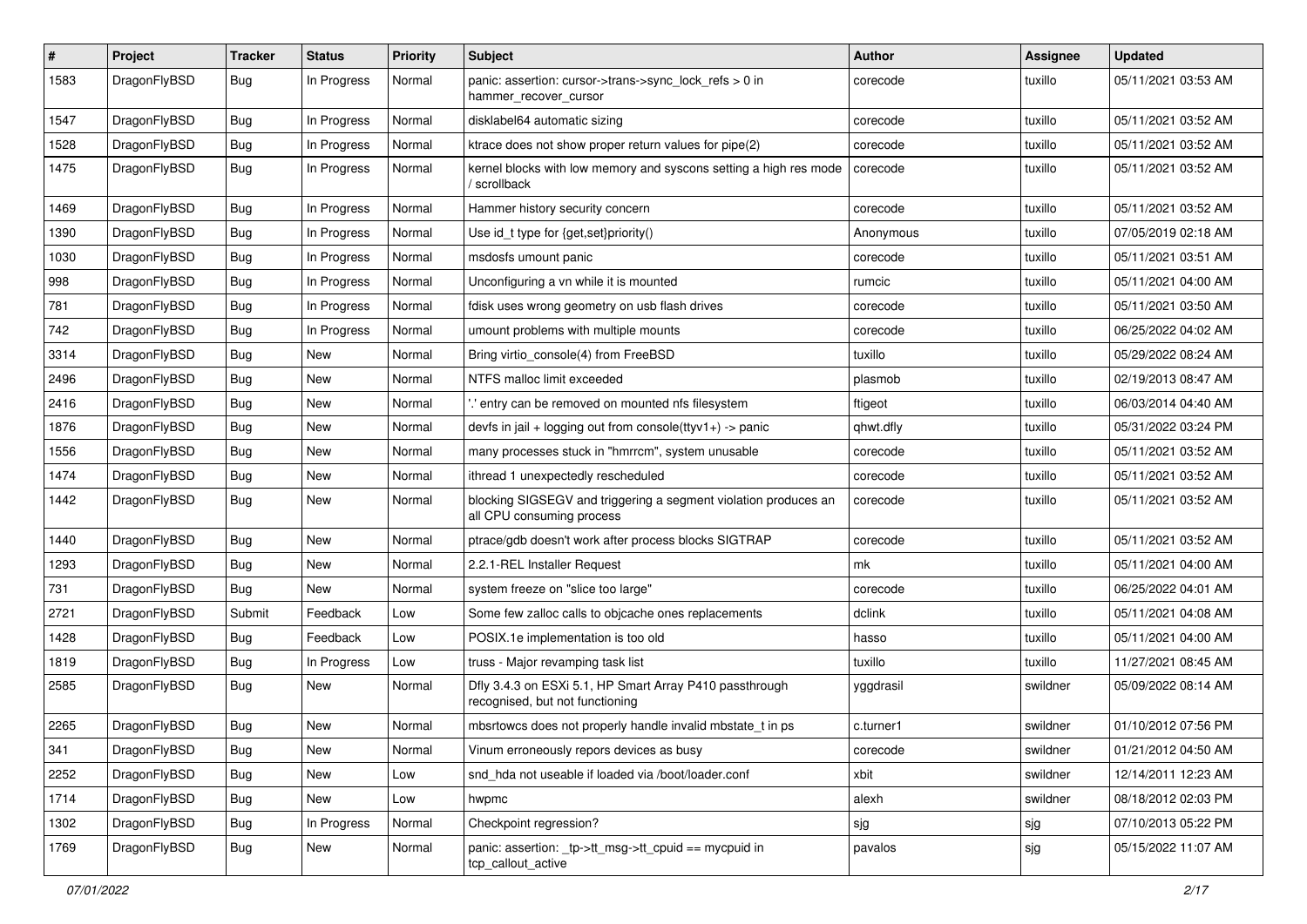| #    | Project      | <b>Tracker</b> | <b>Status</b> | <b>Priority</b> | Subject                                                                                      | <b>Author</b> | Assignee | <b>Updated</b>      |
|------|--------------|----------------|---------------|-----------------|----------------------------------------------------------------------------------------------|---------------|----------|---------------------|
| 1583 | DragonFlyBSD | <b>Bug</b>     | In Progress   | Normal          | panic: assertion: cursor->trans->sync_lock_refs > 0 in<br>hammer_recover_cursor              | corecode      | tuxillo  | 05/11/2021 03:53 AM |
| 1547 | DragonFlyBSD | <b>Bug</b>     | In Progress   | Normal          | disklabel64 automatic sizing                                                                 | corecode      | tuxillo  | 05/11/2021 03:52 AM |
| 1528 | DragonFlyBSD | <b>Bug</b>     | In Progress   | Normal          | ktrace does not show proper return values for pipe(2)                                        | corecode      | tuxillo  | 05/11/2021 03:52 AM |
| 1475 | DragonFlyBSD | Bug            | In Progress   | Normal          | kernel blocks with low memory and syscons setting a high res mode<br>/ scrollback            | corecode      | tuxillo  | 05/11/2021 03:52 AM |
| 1469 | DragonFlyBSD | Bug            | In Progress   | Normal          | Hammer history security concern                                                              | corecode      | tuxillo  | 05/11/2021 03:52 AM |
| 1390 | DragonFlyBSD | <b>Bug</b>     | In Progress   | Normal          | Use id_t type for {get,set}priority()                                                        | Anonymous     | tuxillo  | 07/05/2019 02:18 AM |
| 1030 | DragonFlyBSD | <b>Bug</b>     | In Progress   | Normal          | msdosfs umount panic                                                                         | corecode      | tuxillo  | 05/11/2021 03:51 AM |
| 998  | DragonFlyBSD | Bug            | In Progress   | Normal          | Unconfiguring a vn while it is mounted                                                       | rumcic        | tuxillo  | 05/11/2021 04:00 AM |
| 781  | DragonFlyBSD | <b>Bug</b>     | In Progress   | Normal          | fdisk uses wrong geometry on usb flash drives                                                | corecode      | tuxillo  | 05/11/2021 03:50 AM |
| 742  | DragonFlyBSD | <b>Bug</b>     | In Progress   | Normal          | umount problems with multiple mounts                                                         | corecode      | tuxillo  | 06/25/2022 04:02 AM |
| 3314 | DragonFlyBSD | <b>Bug</b>     | New           | Normal          | Bring virtio_console(4) from FreeBSD                                                         | tuxillo       | tuxillo  | 05/29/2022 08:24 AM |
| 2496 | DragonFlyBSD | <b>Bug</b>     | New           | Normal          | NTFS malloc limit exceeded                                                                   | plasmob       | tuxillo  | 02/19/2013 08:47 AM |
| 2416 | DragonFlyBSD | Bug            | New           | Normal          | ".' entry can be removed on mounted nfs filesystem                                           | ftigeot       | tuxillo  | 06/03/2014 04:40 AM |
| 1876 | DragonFlyBSD | <b>Bug</b>     | <b>New</b>    | Normal          | devfs in jail + logging out from console(ttyv1+) -> panic                                    | qhwt.dfly     | tuxillo  | 05/31/2022 03:24 PM |
| 1556 | DragonFlyBSD | <b>Bug</b>     | <b>New</b>    | Normal          | many processes stuck in "hmrrcm", system unusable                                            | corecode      | tuxillo  | 05/11/2021 03:52 AM |
| 1474 | DragonFlyBSD | <b>Bug</b>     | New           | Normal          | ithread 1 unexpectedly rescheduled                                                           | corecode      | tuxillo  | 05/11/2021 03:52 AM |
| 1442 | DragonFlyBSD | <b>Bug</b>     | New           | Normal          | blocking SIGSEGV and triggering a segment violation produces an<br>all CPU consuming process | corecode      | tuxillo  | 05/11/2021 03:52 AM |
| 1440 | DragonFlyBSD | <b>Bug</b>     | New           | Normal          | ptrace/gdb doesn't work after process blocks SIGTRAP                                         | corecode      | tuxillo  | 05/11/2021 03:52 AM |
| 1293 | DragonFlyBSD | <b>Bug</b>     | New           | Normal          | 2.2.1-REL Installer Request                                                                  | mk            | tuxillo  | 05/11/2021 04:00 AM |
| 731  | DragonFlyBSD | Bug            | New           | Normal          | system freeze on "slice too large"                                                           | corecode      | tuxillo  | 06/25/2022 04:01 AM |
| 2721 | DragonFlyBSD | Submit         | Feedback      | Low             | Some few zalloc calls to objcache ones replacements                                          | dclink        | tuxillo  | 05/11/2021 04:08 AM |
| 1428 | DragonFlyBSD | Bug            | Feedback      | Low             | POSIX.1e implementation is too old                                                           | hasso         | tuxillo  | 05/11/2021 04:00 AM |
| 1819 | DragonFlyBSD | <b>Bug</b>     | In Progress   | Low             | truss - Major revamping task list                                                            | tuxillo       | tuxillo  | 11/27/2021 08:45 AM |
| 2585 | DragonFlyBSD | <b>Bug</b>     | New           | Normal          | Dfly 3.4.3 on ESXi 5.1, HP Smart Array P410 passthrough<br>recognised, but not functioning   | yggdrasil     | swildner | 05/09/2022 08:14 AM |
| 2265 | DragonFlyBSD | Bug            | <b>New</b>    | Normal          | mbsrtowcs does not properly handle invalid mbstate t in ps                                   | c.turner1     | swildner | 01/10/2012 07:56 PM |
| 341  | DragonFlyBSD | <b>Bug</b>     | New           | Normal          | Vinum erroneously repors devices as busy                                                     | corecode      | swildner | 01/21/2012 04:50 AM |
| 2252 | DragonFlyBSD | <b>Bug</b>     | <b>New</b>    | Low             | snd hda not useable if loaded via /boot/loader.conf                                          | xbit          | swildner | 12/14/2011 12:23 AM |
| 1714 | DragonFlyBSD | <b>Bug</b>     | New           | Low             | hwpmc                                                                                        | alexh         | swildner | 08/18/2012 02:03 PM |
| 1302 | DragonFlyBSD | <b>Bug</b>     | In Progress   | Normal          | Checkpoint regression?                                                                       | sjg           | sjg      | 07/10/2013 05:22 PM |
| 1769 | DragonFlyBSD | <b>Bug</b>     | New           | Normal          | panic: assertion: _tp->tt_msg->tt_cpuid == mycpuid in<br>tcp_callout_active                  | pavalos       | sjg      | 05/15/2022 11:07 AM |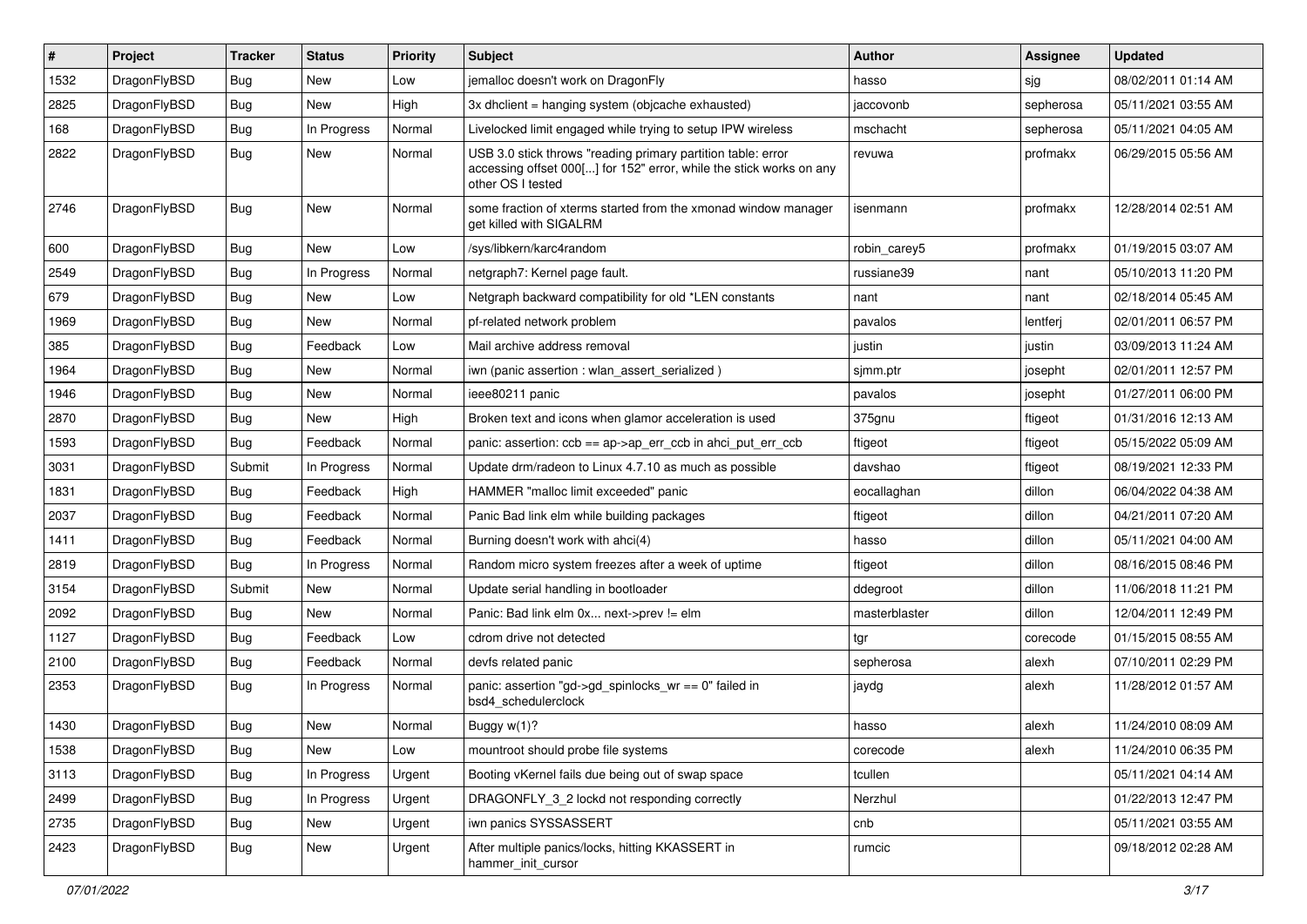| #    | Project      | <b>Tracker</b> | <b>Status</b> | <b>Priority</b> | <b>Subject</b>                                                                                                                                           | <b>Author</b> | Assignee  | <b>Updated</b>      |
|------|--------------|----------------|---------------|-----------------|----------------------------------------------------------------------------------------------------------------------------------------------------------|---------------|-----------|---------------------|
| 1532 | DragonFlyBSD | Bug            | New           | Low             | jemalloc doesn't work on DragonFly                                                                                                                       | hasso         | sjg       | 08/02/2011 01:14 AM |
| 2825 | DragonFlyBSD | Bug            | <b>New</b>    | High            | 3x dholient = hanging system (objoache exhausted)                                                                                                        | jaccovonb     | sepherosa | 05/11/2021 03:55 AM |
| 168  | DragonFlyBSD | Bug            | In Progress   | Normal          | Livelocked limit engaged while trying to setup IPW wireless                                                                                              | mschacht      | sepherosa | 05/11/2021 04:05 AM |
| 2822 | DragonFlyBSD | Bug            | New           | Normal          | USB 3.0 stick throws "reading primary partition table: error<br>accessing offset 000[] for 152" error, while the stick works on any<br>other OS I tested | revuwa        | profmakx  | 06/29/2015 05:56 AM |
| 2746 | DragonFlyBSD | Bug            | New           | Normal          | some fraction of xterms started from the xmonad window manager<br>aet killed with SIGALRM                                                                | isenmann      | profmakx  | 12/28/2014 02:51 AM |
| 600  | DragonFlyBSD | Bug            | New           | Low             | /sys/libkern/karc4random                                                                                                                                 | robin carev5  | profmakx  | 01/19/2015 03:07 AM |
| 2549 | DragonFlyBSD | Bug            | In Progress   | Normal          | netgraph7: Kernel page fault.                                                                                                                            | russiane39    | nant      | 05/10/2013 11:20 PM |
| 679  | DragonFlyBSD | Bug            | New           | Low             | Netgraph backward compatibility for old *LEN constants                                                                                                   | nant          | nant      | 02/18/2014 05:45 AM |
| 1969 | DragonFlyBSD | Bug            | New           | Normal          | pf-related network problem                                                                                                                               | pavalos       | lentferj  | 02/01/2011 06:57 PM |
| 385  | DragonFlyBSD | Bug            | Feedback      | Low             | Mail archive address removal                                                                                                                             | justin        | justin    | 03/09/2013 11:24 AM |
| 1964 | DragonFlyBSD | Bug            | <b>New</b>    | Normal          | iwn (panic assertion : wlan_assert_serialized)                                                                                                           | sjmm.ptr      | josepht   | 02/01/2011 12:57 PM |
| 1946 | DragonFlyBSD | Bug            | New           | Normal          | ieee80211 panic                                                                                                                                          | pavalos       | josepht   | 01/27/2011 06:00 PM |
| 2870 | DragonFlyBSD | Bug            | New           | High            | Broken text and icons when glamor acceleration is used                                                                                                   | 375gnu        | ftigeot   | 01/31/2016 12:13 AM |
| 1593 | DragonFlyBSD | Bug            | Feedback      | Normal          | panic: assertion: $ccb = ap > ap$ err $ccb$ in ahci put err $ccb$                                                                                        | ftigeot       | ftigeot   | 05/15/2022 05:09 AM |
| 3031 | DragonFlyBSD | Submit         | In Progress   | Normal          | Update drm/radeon to Linux 4.7.10 as much as possible                                                                                                    | davshao       | ftigeot   | 08/19/2021 12:33 PM |
| 1831 | DragonFlyBSD | Bug            | Feedback      | High            | HAMMER "malloc limit exceeded" panic                                                                                                                     | eocallaghan   | dillon    | 06/04/2022 04:38 AM |
| 2037 | DragonFlyBSD | Bug            | Feedback      | Normal          | Panic Bad link elm while building packages                                                                                                               | ftigeot       | dillon    | 04/21/2011 07:20 AM |
| 1411 | DragonFlyBSD | Bug            | Feedback      | Normal          | Burning doesn't work with ahci(4)                                                                                                                        | hasso         | dillon    | 05/11/2021 04:00 AM |
| 2819 | DragonFlyBSD | Bug            | In Progress   | Normal          | Random micro system freezes after a week of uptime                                                                                                       | ftigeot       | dillon    | 08/16/2015 08:46 PM |
| 3154 | DragonFlyBSD | Submit         | New           | Normal          | Update serial handling in bootloader                                                                                                                     | ddegroot      | dillon    | 11/06/2018 11:21 PM |
| 2092 | DragonFlyBSD | Bug            | New           | Normal          | Panic: Bad link elm 0x next->prev != elm                                                                                                                 | masterblaster | dillon    | 12/04/2011 12:49 PM |
| 1127 | DragonFlyBSD | Bug            | Feedback      | Low             | cdrom drive not detected                                                                                                                                 | tgr           | corecode  | 01/15/2015 08:55 AM |
| 2100 | DragonFlyBSD | <b>Bug</b>     | Feedback      | Normal          | devfs related panic                                                                                                                                      | sepherosa     | alexh     | 07/10/2011 02:29 PM |
| 2353 | DragonFlyBSD | Bug            | In Progress   | Normal          | panic: assertion "gd->gd_spinlocks_wr == 0" failed in<br>bsd4 schedulerclock                                                                             | jaydg         | alexh     | 11/28/2012 01:57 AM |
| 1430 | DragonFlyBSD | Bug            | New           | Normal          | Buggy w(1)?                                                                                                                                              | hasso         | alexh     | 11/24/2010 08:09 AM |
| 1538 | DragonFlyBSD | <b>Bug</b>     | New           | Low             | mountroot should probe file systems                                                                                                                      | corecode      | alexh     | 11/24/2010 06:35 PM |
| 3113 | DragonFlyBSD | <b>Bug</b>     | In Progress   | Urgent          | Booting vKernel fails due being out of swap space                                                                                                        | tcullen       |           | 05/11/2021 04:14 AM |
| 2499 | DragonFlyBSD | <b>Bug</b>     | In Progress   | Urgent          | DRAGONFLY_3_2 lockd not responding correctly                                                                                                             | Nerzhul       |           | 01/22/2013 12:47 PM |
| 2735 | DragonFlyBSD | <b>Bug</b>     | New           | Urgent          | iwn panics SYSSASSERT                                                                                                                                    | cnb           |           | 05/11/2021 03:55 AM |
| 2423 | DragonFlyBSD | <b>Bug</b>     | New           | Urgent          | After multiple panics/locks, hitting KKASSERT in<br>hammer_init_cursor                                                                                   | rumcic        |           | 09/18/2012 02:28 AM |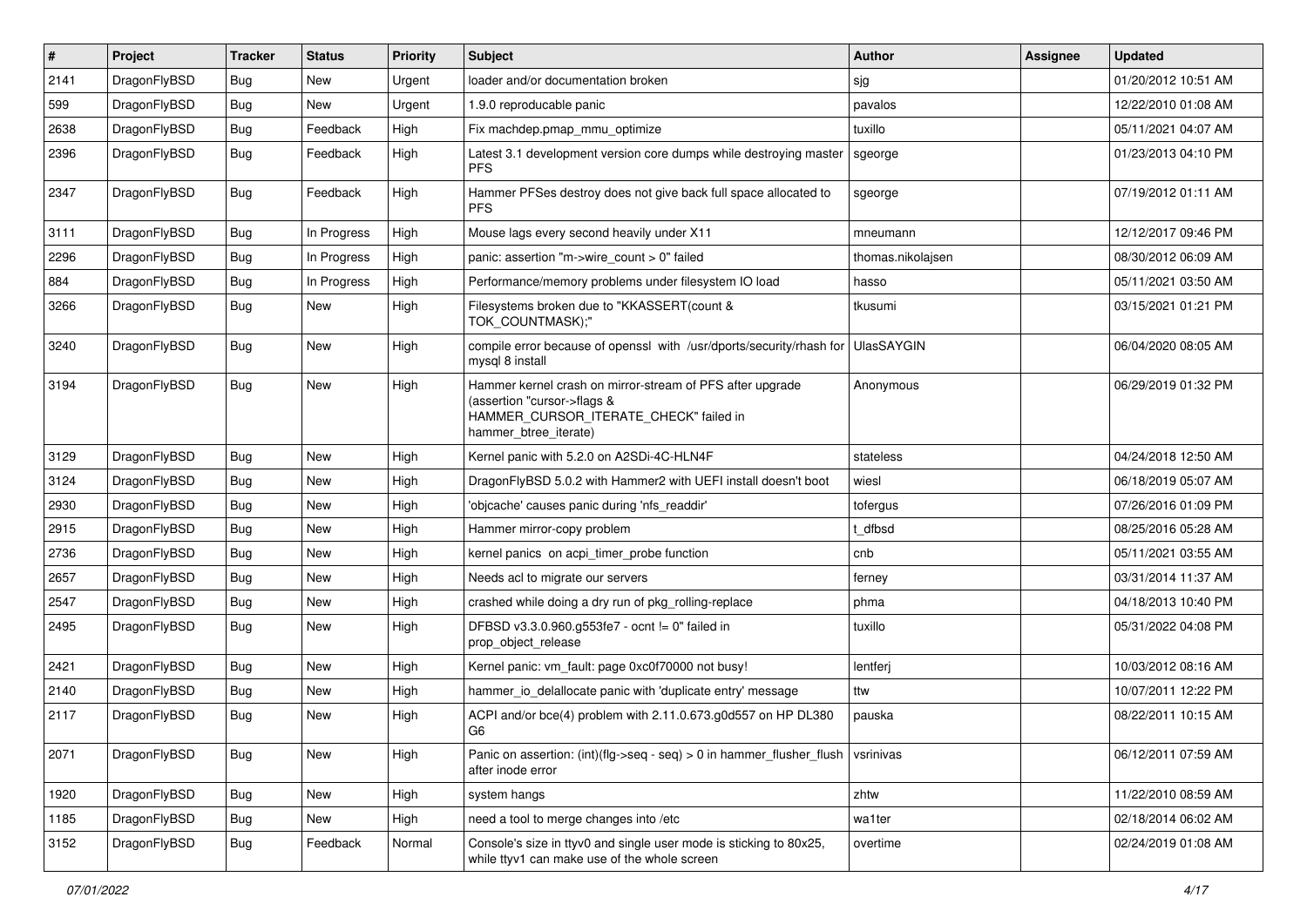| #    | Project      | <b>Tracker</b> | <b>Status</b> | <b>Priority</b> | Subject                                                                                                                                                     | Author            | Assignee | <b>Updated</b>      |
|------|--------------|----------------|---------------|-----------------|-------------------------------------------------------------------------------------------------------------------------------------------------------------|-------------------|----------|---------------------|
| 2141 | DragonFlyBSD | Bug            | <b>New</b>    | Urgent          | loader and/or documentation broken                                                                                                                          | sjg               |          | 01/20/2012 10:51 AM |
| 599  | DragonFlyBSD | <b>Bug</b>     | New           | Urgent          | 1.9.0 reproducable panic                                                                                                                                    | pavalos           |          | 12/22/2010 01:08 AM |
| 2638 | DragonFlyBSD | <b>Bug</b>     | Feedback      | High            | Fix machdep.pmap_mmu_optimize                                                                                                                               | tuxillo           |          | 05/11/2021 04:07 AM |
| 2396 | DragonFlyBSD | Bug            | Feedback      | High            | Latest 3.1 development version core dumps while destroying master<br><b>PFS</b>                                                                             | sgeorge           |          | 01/23/2013 04:10 PM |
| 2347 | DragonFlyBSD | Bug            | Feedback      | High            | Hammer PFSes destroy does not give back full space allocated to<br>PFS.                                                                                     | sgeorge           |          | 07/19/2012 01:11 AM |
| 3111 | DragonFlyBSD | <b>Bug</b>     | In Progress   | High            | Mouse lags every second heavily under X11                                                                                                                   | mneumann          |          | 12/12/2017 09:46 PM |
| 2296 | DragonFlyBSD | <b>Bug</b>     | In Progress   | High            | panic: assertion "m->wire count > 0" failed                                                                                                                 | thomas.nikolajsen |          | 08/30/2012 06:09 AM |
| 884  | DragonFlyBSD | <b>Bug</b>     | In Progress   | High            | Performance/memory problems under filesystem IO load                                                                                                        | hasso             |          | 05/11/2021 03:50 AM |
| 3266 | DragonFlyBSD | <b>Bug</b>     | New           | High            | Filesystems broken due to "KKASSERT(count &<br>TOK_COUNTMASK);"                                                                                             | tkusumi           |          | 03/15/2021 01:21 PM |
| 3240 | DragonFlyBSD | <b>Bug</b>     | New           | High            | compile error because of openssl with /usr/dports/security/rhash for<br>mysql 8 install                                                                     | <b>UlasSAYGIN</b> |          | 06/04/2020 08:05 AM |
| 3194 | DragonFlyBSD | Bug            | <b>New</b>    | High            | Hammer kernel crash on mirror-stream of PFS after upgrade<br>(assertion "cursor->flags &<br>HAMMER_CURSOR_ITERATE_CHECK" failed in<br>hammer_btree_iterate) | Anonymous         |          | 06/29/2019 01:32 PM |
| 3129 | DragonFlyBSD | Bug            | New           | High            | Kernel panic with 5.2.0 on A2SDi-4C-HLN4F                                                                                                                   | stateless         |          | 04/24/2018 12:50 AM |
| 3124 | DragonFlyBSD | <b>Bug</b>     | <b>New</b>    | High            | DragonFlyBSD 5.0.2 with Hammer2 with UEFI install doesn't boot                                                                                              | wiesl             |          | 06/18/2019 05:07 AM |
| 2930 | DragonFlyBSD | <b>Bug</b>     | <b>New</b>    | High            | 'objcache' causes panic during 'nfs readdir'                                                                                                                | tofergus          |          | 07/26/2016 01:09 PM |
| 2915 | DragonFlyBSD | Bug            | New           | High            | Hammer mirror-copy problem                                                                                                                                  | t dfbsd           |          | 08/25/2016 05:28 AM |
| 2736 | DragonFlyBSD | Bug            | <b>New</b>    | High            | kernel panics on acpi timer probe function                                                                                                                  | cnb               |          | 05/11/2021 03:55 AM |
| 2657 | DragonFlyBSD | <b>Bug</b>     | New           | High            | Needs acl to migrate our servers                                                                                                                            | ferney            |          | 03/31/2014 11:37 AM |
| 2547 | DragonFlyBSD | Bug            | <b>New</b>    | High            | crashed while doing a dry run of pkg_rolling-replace                                                                                                        | phma              |          | 04/18/2013 10:40 PM |
| 2495 | DragonFlyBSD | Bug            | New           | High            | DFBSD v3.3.0.960.g553fe7 - ocnt != 0" failed in<br>prop_object_release                                                                                      | tuxillo           |          | 05/31/2022 04:08 PM |
| 2421 | DragonFlyBSD | Bug            | <b>New</b>    | High            | Kernel panic: vm_fault: page 0xc0f70000 not busy!                                                                                                           | lentferj          |          | 10/03/2012 08:16 AM |
| 2140 | DragonFlyBSD | <b>Bug</b>     | <b>New</b>    | High            | hammer_io_delallocate panic with 'duplicate entry' message                                                                                                  | ttw               |          | 10/07/2011 12:22 PM |
| 2117 | DragonFlyBSD | <b>Bug</b>     | New           | High            | ACPI and/or bce(4) problem with 2.11.0.673.g0d557 on HP DL380<br>G <sub>6</sub>                                                                             | pauska            |          | 08/22/2011 10:15 AM |
| 2071 | DragonFlyBSD | Bug            | New           | High            | Panic on assertion: (int)(flg->seq - seq) > 0 in hammer_flusher_flush<br>after inode error                                                                  | vsrinivas         |          | 06/12/2011 07:59 AM |
| 1920 | DragonFlyBSD | <b>Bug</b>     | New           | High            | system hangs                                                                                                                                                | zhtw              |          | 11/22/2010 08:59 AM |
| 1185 | DragonFlyBSD | <b>Bug</b>     | New           | High            | need a tool to merge changes into /etc                                                                                                                      | wa1ter            |          | 02/18/2014 06:02 AM |
| 3152 | DragonFlyBSD | <b>Bug</b>     | Feedback      | Normal          | Console's size in ttyv0 and single user mode is sticking to 80x25,<br>while ttyv1 can make use of the whole screen                                          | overtime          |          | 02/24/2019 01:08 AM |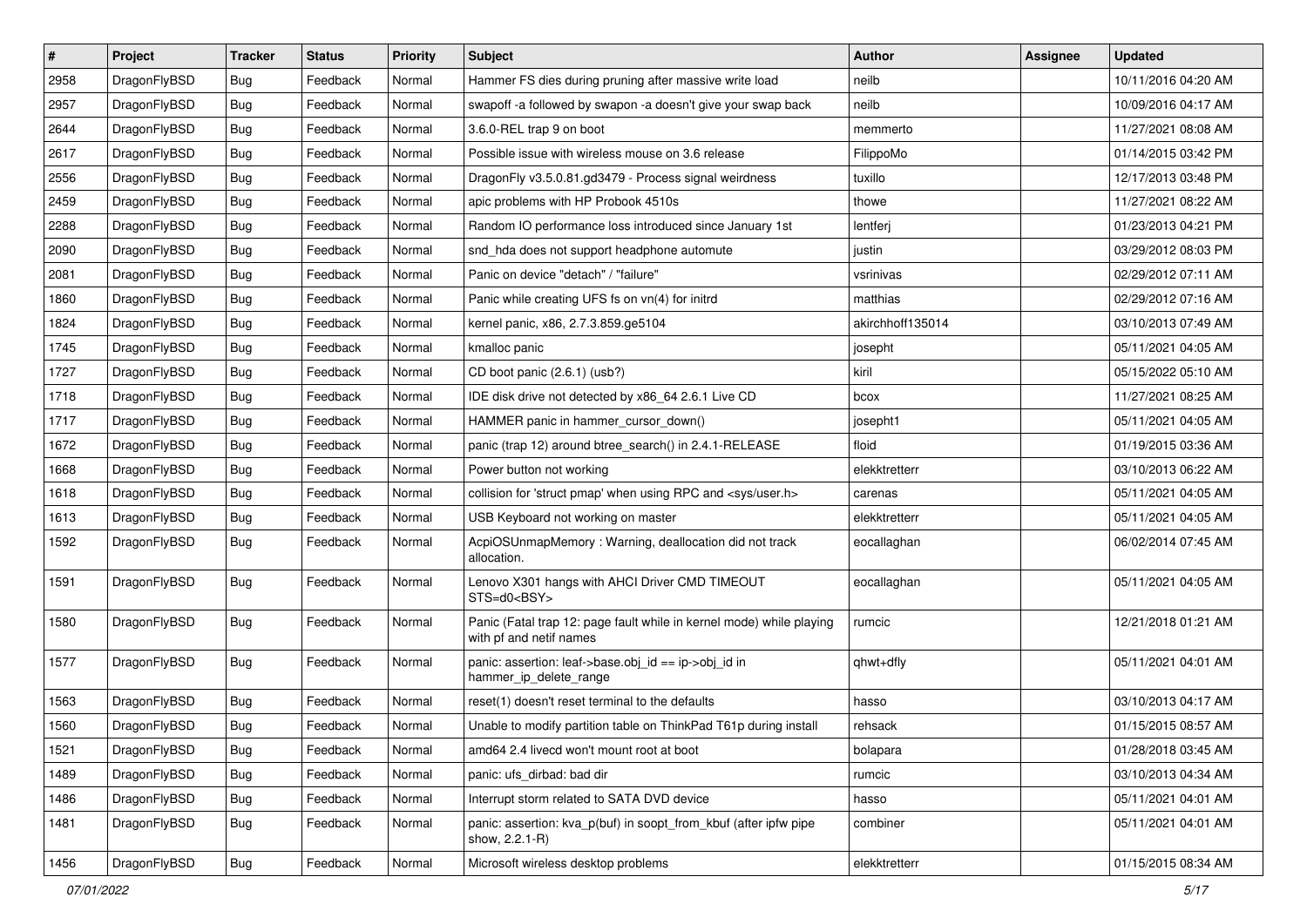| $\pmb{\#}$ | Project      | <b>Tracker</b> | <b>Status</b> | <b>Priority</b> | Subject                                                                                         | <b>Author</b>    | Assignee | <b>Updated</b>      |
|------------|--------------|----------------|---------------|-----------------|-------------------------------------------------------------------------------------------------|------------------|----------|---------------------|
| 2958       | DragonFlyBSD | Bug            | Feedback      | Normal          | Hammer FS dies during pruning after massive write load                                          | neilb            |          | 10/11/2016 04:20 AM |
| 2957       | DragonFlyBSD | Bug            | Feedback      | Normal          | swapoff -a followed by swapon -a doesn't give your swap back                                    | neilb            |          | 10/09/2016 04:17 AM |
| 2644       | DragonFlyBSD | Bug            | Feedback      | Normal          | 3.6.0-REL trap 9 on boot                                                                        | memmerto         |          | 11/27/2021 08:08 AM |
| 2617       | DragonFlyBSD | Bug            | Feedback      | Normal          | Possible issue with wireless mouse on 3.6 release                                               | FilippoMo        |          | 01/14/2015 03:42 PM |
| 2556       | DragonFlyBSD | Bug            | Feedback      | Normal          | DragonFly v3.5.0.81.gd3479 - Process signal weirdness                                           | tuxillo          |          | 12/17/2013 03:48 PM |
| 2459       | DragonFlyBSD | <b>Bug</b>     | Feedback      | Normal          | apic problems with HP Probook 4510s                                                             | thowe            |          | 11/27/2021 08:22 AM |
| 2288       | DragonFlyBSD | Bug            | Feedback      | Normal          | Random IO performance loss introduced since January 1st                                         | lentferj         |          | 01/23/2013 04:21 PM |
| 2090       | DragonFlyBSD | Bug            | Feedback      | Normal          | snd hda does not support headphone automute                                                     | justin           |          | 03/29/2012 08:03 PM |
| 2081       | DragonFlyBSD | Bug            | Feedback      | Normal          | Panic on device "detach" / "failure"                                                            | vsrinivas        |          | 02/29/2012 07:11 AM |
| 1860       | DragonFlyBSD | Bug            | Feedback      | Normal          | Panic while creating UFS fs on vn(4) for initrd                                                 | matthias         |          | 02/29/2012 07:16 AM |
| 1824       | DragonFlyBSD | <b>Bug</b>     | Feedback      | Normal          | kernel panic, x86, 2.7.3.859.ge5104                                                             | akirchhoff135014 |          | 03/10/2013 07:49 AM |
| 1745       | DragonFlyBSD | Bug            | Feedback      | Normal          | kmalloc panic                                                                                   | josepht          |          | 05/11/2021 04:05 AM |
| 1727       | DragonFlyBSD | <b>Bug</b>     | Feedback      | Normal          | CD boot panic (2.6.1) (usb?)                                                                    | kiril            |          | 05/15/2022 05:10 AM |
| 1718       | DragonFlyBSD | Bug            | Feedback      | Normal          | IDE disk drive not detected by x86_64 2.6.1 Live CD                                             | bcox             |          | 11/27/2021 08:25 AM |
| 1717       | DragonFlyBSD | Bug            | Feedback      | Normal          | HAMMER panic in hammer_cursor_down()                                                            | josepht1         |          | 05/11/2021 04:05 AM |
| 1672       | DragonFlyBSD | <b>Bug</b>     | Feedback      | Normal          | panic (trap 12) around btree_search() in 2.4.1-RELEASE                                          | floid            |          | 01/19/2015 03:36 AM |
| 1668       | DragonFlyBSD | <b>Bug</b>     | Feedback      | Normal          | Power button not working                                                                        | elekktretterr    |          | 03/10/2013 06:22 AM |
| 1618       | DragonFlyBSD | Bug            | Feedback      | Normal          | collision for 'struct pmap' when using RPC and <sys user.h=""></sys>                            | carenas          |          | 05/11/2021 04:05 AM |
| 1613       | DragonFlyBSD | Bug            | Feedback      | Normal          | USB Keyboard not working on master                                                              | elekktretterr    |          | 05/11/2021 04:05 AM |
| 1592       | DragonFlyBSD | Bug            | Feedback      | Normal          | AcpiOSUnmapMemory: Warning, deallocation did not track<br>allocation.                           | eocallaghan      |          | 06/02/2014 07:45 AM |
| 1591       | DragonFlyBSD | Bug            | Feedback      | Normal          | Lenovo X301 hangs with AHCI Driver CMD TIMEOUT<br>STS=d0 <bsy></bsy>                            | eocallaghan      |          | 05/11/2021 04:05 AM |
| 1580       | DragonFlyBSD | Bug            | Feedback      | Normal          | Panic (Fatal trap 12: page fault while in kernel mode) while playing<br>with pf and netif names | rumcic           |          | 12/21/2018 01:21 AM |
| 1577       | DragonFlyBSD | Bug            | Feedback      | Normal          | panic: assertion: leaf->base.obj_id == ip->obj_id in<br>hammer_ip_delete_range                  | qhwt+dfly        |          | 05/11/2021 04:01 AM |
| 1563       | DragonFlyBSD | Bug            | Feedback      | Normal          | reset(1) doesn't reset terminal to the defaults                                                 | hasso            |          | 03/10/2013 04:17 AM |
| 1560       | DragonFlyBSD | <b>Bug</b>     | Feedback      | Normal          | Unable to modify partition table on ThinkPad T61p during install                                | rehsack          |          | 01/15/2015 08:57 AM |
| 1521       | DragonFlyBSD | <b>Bug</b>     | Feedback      | Normal          | amd64 2.4 livecd won't mount root at boot                                                       | bolapara         |          | 01/28/2018 03:45 AM |
| 1489       | DragonFlyBSD | Bug            | Feedback      | Normal          | panic: ufs_dirbad: bad dir                                                                      | rumcic           |          | 03/10/2013 04:34 AM |
| 1486       | DragonFlyBSD | Bug            | Feedback      | Normal          | Interrupt storm related to SATA DVD device                                                      | hasso            |          | 05/11/2021 04:01 AM |
| 1481       | DragonFlyBSD | Bug            | Feedback      | Normal          | panic: assertion: kva_p(buf) in soopt_from_kbuf (after ipfw pipe<br>show, 2.2.1-R)              | combiner         |          | 05/11/2021 04:01 AM |
| 1456       | DragonFlyBSD | Bug            | Feedback      | Normal          | Microsoft wireless desktop problems                                                             | elekktretterr    |          | 01/15/2015 08:34 AM |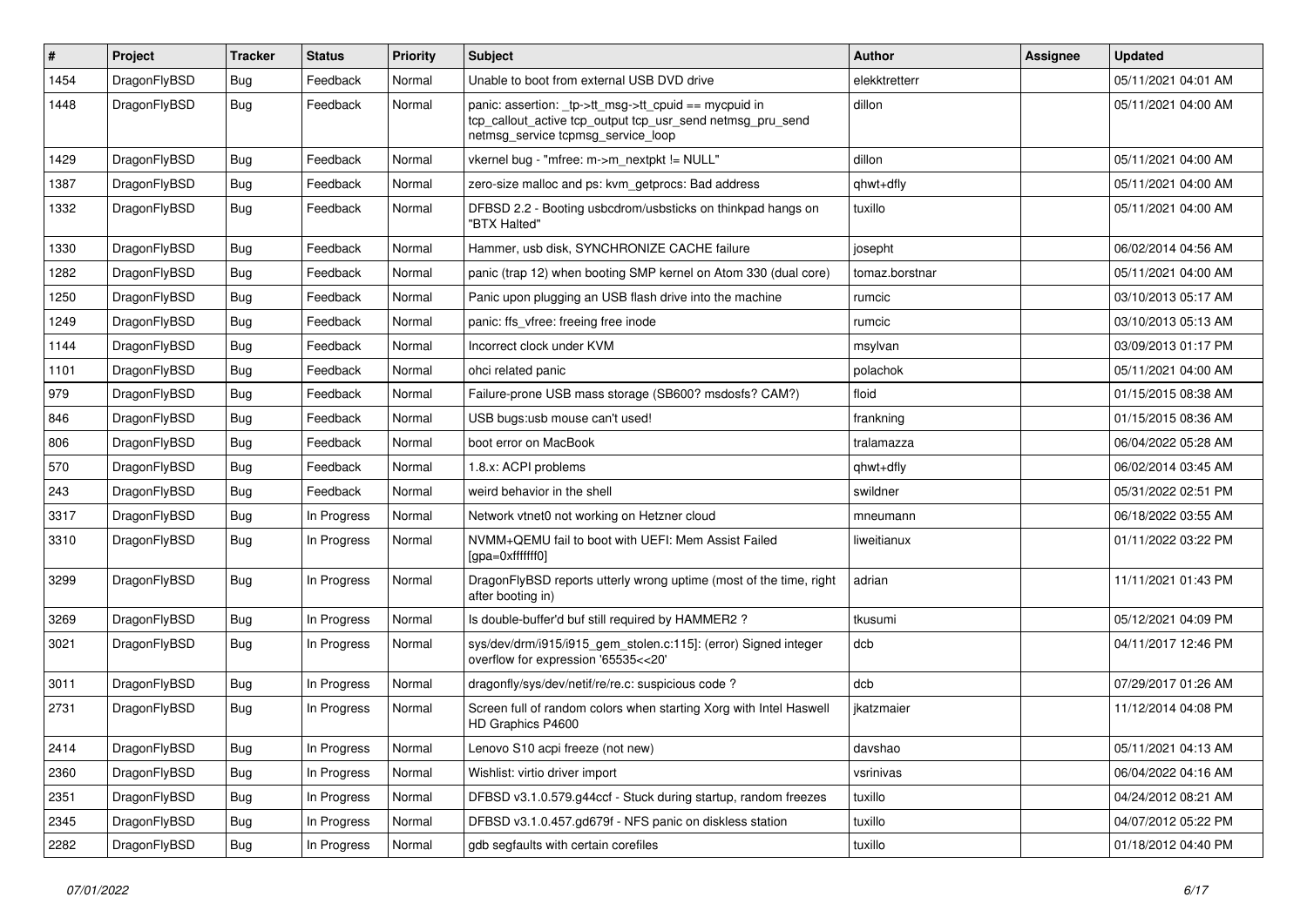| $\sharp$ | Project      | <b>Tracker</b> | <b>Status</b> | <b>Priority</b> | Subject                                                                                                                                                   | <b>Author</b>  | Assignee | <b>Updated</b>      |
|----------|--------------|----------------|---------------|-----------------|-----------------------------------------------------------------------------------------------------------------------------------------------------------|----------------|----------|---------------------|
| 1454     | DragonFlyBSD | Bug            | Feedback      | Normal          | Unable to boot from external USB DVD drive                                                                                                                | elekktretterr  |          | 05/11/2021 04:01 AM |
| 1448     | DragonFlyBSD | <b>Bug</b>     | Feedback      | Normal          | panic: assertion: _tp->tt_msg->tt_cpuid == mycpuid in<br>tcp_callout_active tcp_output tcp_usr_send netmsg_pru_send<br>netmsg_service tcpmsg_service_loop | dillon         |          | 05/11/2021 04:00 AM |
| 1429     | DragonFlyBSD | Bug            | Feedback      | Normal          | vkernel bug - "mfree: m->m_nextpkt != NULL"                                                                                                               | dillon         |          | 05/11/2021 04:00 AM |
| 1387     | DragonFlyBSD | Bug            | Feedback      | Normal          | zero-size malloc and ps: kvm_getprocs: Bad address                                                                                                        | qhwt+dfly      |          | 05/11/2021 04:00 AM |
| 1332     | DragonFlyBSD | Bug            | Feedback      | Normal          | DFBSD 2.2 - Booting usbcdrom/usbsticks on thinkpad hangs on<br>"BTX Halted"                                                                               | tuxillo        |          | 05/11/2021 04:00 AM |
| 1330     | DragonFlyBSD | Bug            | Feedback      | Normal          | Hammer, usb disk, SYNCHRONIZE CACHE failure                                                                                                               | josepht        |          | 06/02/2014 04:56 AM |
| 1282     | DragonFlyBSD | Bug            | Feedback      | Normal          | panic (trap 12) when booting SMP kernel on Atom 330 (dual core)                                                                                           | tomaz.borstnar |          | 05/11/2021 04:00 AM |
| 1250     | DragonFlyBSD | <b>Bug</b>     | Feedback      | Normal          | Panic upon plugging an USB flash drive into the machine                                                                                                   | rumcic         |          | 03/10/2013 05:17 AM |
| 1249     | DragonFlyBSD | <b>Bug</b>     | Feedback      | Normal          | panic: ffs_vfree: freeing free inode                                                                                                                      | rumcic         |          | 03/10/2013 05:13 AM |
| 1144     | DragonFlyBSD | Bug            | Feedback      | Normal          | Incorrect clock under KVM                                                                                                                                 | msylvan        |          | 03/09/2013 01:17 PM |
| 1101     | DragonFlyBSD | Bug            | Feedback      | Normal          | ohci related panic                                                                                                                                        | polachok       |          | 05/11/2021 04:00 AM |
| 979      | DragonFlyBSD | Bug            | Feedback      | Normal          | Failure-prone USB mass storage (SB600? msdosfs? CAM?)                                                                                                     | floid          |          | 01/15/2015 08:38 AM |
| 846      | DragonFlyBSD | Bug            | Feedback      | Normal          | USB bugs:usb mouse can't used!                                                                                                                            | frankning      |          | 01/15/2015 08:36 AM |
| 806      | DragonFlyBSD | <b>Bug</b>     | Feedback      | Normal          | boot error on MacBook                                                                                                                                     | tralamazza     |          | 06/04/2022 05:28 AM |
| 570      | DragonFlyBSD | Bug            | Feedback      | Normal          | 1.8.x: ACPI problems                                                                                                                                      | qhwt+dfly      |          | 06/02/2014 03:45 AM |
| 243      | DragonFlyBSD | Bug            | Feedback      | Normal          | weird behavior in the shell                                                                                                                               | swildner       |          | 05/31/2022 02:51 PM |
| 3317     | DragonFlyBSD | Bug            | In Progress   | Normal          | Network vtnet0 not working on Hetzner cloud                                                                                                               | mneumann       |          | 06/18/2022 03:55 AM |
| 3310     | DragonFlyBSD | Bug            | In Progress   | Normal          | NVMM+QEMU fail to boot with UEFI: Mem Assist Failed<br>[gpa=0xfffffff0]                                                                                   | liweitianux    |          | 01/11/2022 03:22 PM |
| 3299     | DragonFlyBSD | <b>Bug</b>     | In Progress   | Normal          | DragonFlyBSD reports utterly wrong uptime (most of the time, right<br>after booting in)                                                                   | adrian         |          | 11/11/2021 01:43 PM |
| 3269     | DragonFlyBSD | <b>Bug</b>     | In Progress   | Normal          | Is double-buffer'd buf still required by HAMMER2 ?                                                                                                        | tkusumi        |          | 05/12/2021 04:09 PM |
| 3021     | DragonFlyBSD | Bug            | In Progress   | Normal          | sys/dev/drm/i915/i915_gem_stolen.c:115]: (error) Signed integer<br>overflow for expression '65535<<20'                                                    | dcb            |          | 04/11/2017 12:46 PM |
| 3011     | DragonFlyBSD | <b>Bug</b>     | In Progress   | Normal          | dragonfly/sys/dev/netif/re/re.c: suspicious code?                                                                                                         | dcb            |          | 07/29/2017 01:26 AM |
| 2731     | DragonFlyBSD | Bug            | In Progress   | Normal          | Screen full of random colors when starting Xorg with Intel Haswell<br>HD Graphics P4600                                                                   | jkatzmaier     |          | 11/12/2014 04:08 PM |
| 2414     | DragonFlyBSD | <b>Bug</b>     | In Progress   | Normal          | Lenovo S10 acpi freeze (not new)                                                                                                                          | davshao        |          | 05/11/2021 04:13 AM |
| 2360     | DragonFlyBSD | <b>Bug</b>     | In Progress   | Normal          | Wishlist: virtio driver import                                                                                                                            | vsrinivas      |          | 06/04/2022 04:16 AM |
| 2351     | DragonFlyBSD | <b>Bug</b>     | In Progress   | Normal          | DFBSD v3.1.0.579.g44ccf - Stuck during startup, random freezes                                                                                            | tuxillo        |          | 04/24/2012 08:21 AM |
| 2345     | DragonFlyBSD | <b>Bug</b>     | In Progress   | Normal          | DFBSD v3.1.0.457.gd679f - NFS panic on diskless station                                                                                                   | tuxillo        |          | 04/07/2012 05:22 PM |
| 2282     | DragonFlyBSD | <b>Bug</b>     | In Progress   | Normal          | gdb segfaults with certain corefiles                                                                                                                      | tuxillo        |          | 01/18/2012 04:40 PM |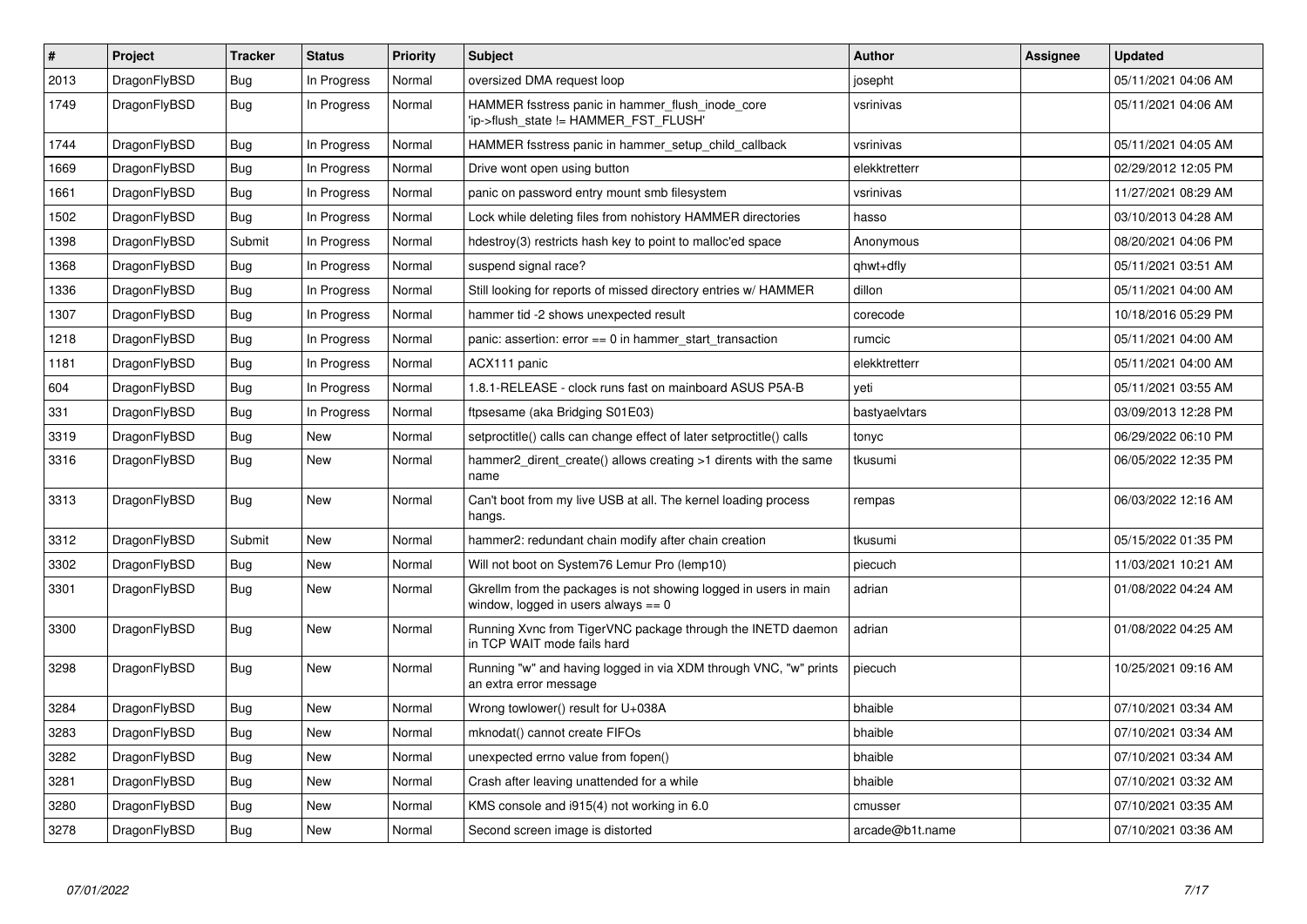| $\pmb{\#}$ | Project      | <b>Tracker</b> | <b>Status</b> | <b>Priority</b> | <b>Subject</b>                                                                                          | <b>Author</b>   | Assignee | <b>Updated</b>      |
|------------|--------------|----------------|---------------|-----------------|---------------------------------------------------------------------------------------------------------|-----------------|----------|---------------------|
| 2013       | DragonFlyBSD | Bug            | In Progress   | Normal          | oversized DMA request loop                                                                              | josepht         |          | 05/11/2021 04:06 AM |
| 1749       | DragonFlyBSD | <b>Bug</b>     | In Progress   | Normal          | HAMMER fsstress panic in hammer_flush_inode_core<br>'ip->flush state != HAMMER FST FLUSH'               | vsrinivas       |          | 05/11/2021 04:06 AM |
| 1744       | DragonFlyBSD | <b>Bug</b>     | In Progress   | Normal          | HAMMER fsstress panic in hammer_setup_child_callback                                                    | vsrinivas       |          | 05/11/2021 04:05 AM |
| 1669       | DragonFlyBSD | Bug            | In Progress   | Normal          | Drive wont open using button                                                                            | elekktretterr   |          | 02/29/2012 12:05 PM |
| 1661       | DragonFlyBSD | Bug            | In Progress   | Normal          | panic on password entry mount smb filesystem                                                            | vsrinivas       |          | 11/27/2021 08:29 AM |
| 1502       | DragonFlyBSD | <b>Bug</b>     | In Progress   | Normal          | Lock while deleting files from nohistory HAMMER directories                                             | hasso           |          | 03/10/2013 04:28 AM |
| 1398       | DragonFlyBSD | Submit         | In Progress   | Normal          | hdestroy(3) restricts hash key to point to malloc'ed space                                              | Anonymous       |          | 08/20/2021 04:06 PM |
| 1368       | DragonFlyBSD | <b>Bug</b>     | In Progress   | Normal          | suspend signal race?                                                                                    | qhwt+dfly       |          | 05/11/2021 03:51 AM |
| 1336       | DragonFlyBSD | Bug            | In Progress   | Normal          | Still looking for reports of missed directory entries w/ HAMMER                                         | dillon          |          | 05/11/2021 04:00 AM |
| 1307       | DragonFlyBSD | <b>Bug</b>     | In Progress   | Normal          | hammer tid -2 shows unexpected result                                                                   | corecode        |          | 10/18/2016 05:29 PM |
| 1218       | DragonFlyBSD | <b>Bug</b>     | In Progress   | Normal          | panic: assertion: $error == 0$ in hammer start transaction                                              | rumcic          |          | 05/11/2021 04:00 AM |
| 1181       | DragonFlyBSD | Bug            | In Progress   | Normal          | ACX111 panic                                                                                            | elekktretterr   |          | 05/11/2021 04:00 AM |
| 604        | DragonFlyBSD | Bug            | In Progress   | Normal          | 1.8.1-RELEASE - clock runs fast on mainboard ASUS P5A-B                                                 | yeti            |          | 05/11/2021 03:55 AM |
| 331        | DragonFlyBSD | <b>Bug</b>     | In Progress   | Normal          | ftpsesame (aka Bridging S01E03)                                                                         | bastyaelvtars   |          | 03/09/2013 12:28 PM |
| 3319       | DragonFlyBSD | <b>Bug</b>     | <b>New</b>    | Normal          | setproctitle() calls can change effect of later setproctitle() calls                                    | tonyc           |          | 06/29/2022 06:10 PM |
| 3316       | DragonFlyBSD | <b>Bug</b>     | <b>New</b>    | Normal          | hammer2 dirent create() allows creating >1 dirents with the same<br>name                                | tkusumi         |          | 06/05/2022 12:35 PM |
| 3313       | DragonFlyBSD | <b>Bug</b>     | <b>New</b>    | Normal          | Can't boot from my live USB at all. The kernel loading process<br>hangs.                                | rempas          |          | 06/03/2022 12:16 AM |
| 3312       | DragonFlyBSD | Submit         | <b>New</b>    | Normal          | hammer2: redundant chain modify after chain creation                                                    | tkusumi         |          | 05/15/2022 01:35 PM |
| 3302       | DragonFlyBSD | <b>Bug</b>     | <b>New</b>    | Normal          | Will not boot on System76 Lemur Pro (lemp10)                                                            | piecuch         |          | 11/03/2021 10:21 AM |
| 3301       | DragonFlyBSD | Bug            | <b>New</b>    | Normal          | Gkrellm from the packages is not showing logged in users in main<br>window, logged in users always == 0 | adrian          |          | 01/08/2022 04:24 AM |
| 3300       | DragonFlyBSD | <b>Bug</b>     | <b>New</b>    | Normal          | Running Xvnc from TigerVNC package through the INETD daemon<br>in TCP WAIT mode fails hard              | adrian          |          | 01/08/2022 04:25 AM |
| 3298       | DragonFlyBSD | <b>Bug</b>     | <b>New</b>    | Normal          | Running "w" and having logged in via XDM through VNC, "w" prints<br>an extra error message              | piecuch         |          | 10/25/2021 09:16 AM |
| 3284       | DragonFlyBSD | <b>Bug</b>     | <b>New</b>    | Normal          | Wrong towlower() result for U+038A                                                                      | bhaible         |          | 07/10/2021 03:34 AM |
| 3283       | DragonFlyBSD | Bug            | <b>New</b>    | Normal          | mknodat() cannot create FIFOs                                                                           | bhaible         |          | 07/10/2021 03:34 AM |
| 3282       | DragonFlyBSD | <b>Bug</b>     | <b>New</b>    | Normal          | unexpected errno value from fopen()                                                                     | bhaible         |          | 07/10/2021 03:34 AM |
| 3281       | DragonFlyBSD | Bug            | New           | Normal          | Crash after leaving unattended for a while                                                              | bhaible         |          | 07/10/2021 03:32 AM |
| 3280       | DragonFlyBSD | <b>Bug</b>     | <b>New</b>    | Normal          | KMS console and i915(4) not working in 6.0                                                              | cmusser         |          | 07/10/2021 03:35 AM |
| 3278       | DragonFlyBSD | Bug            | <b>New</b>    | Normal          | Second screen image is distorted                                                                        | arcade@b1t.name |          | 07/10/2021 03:36 AM |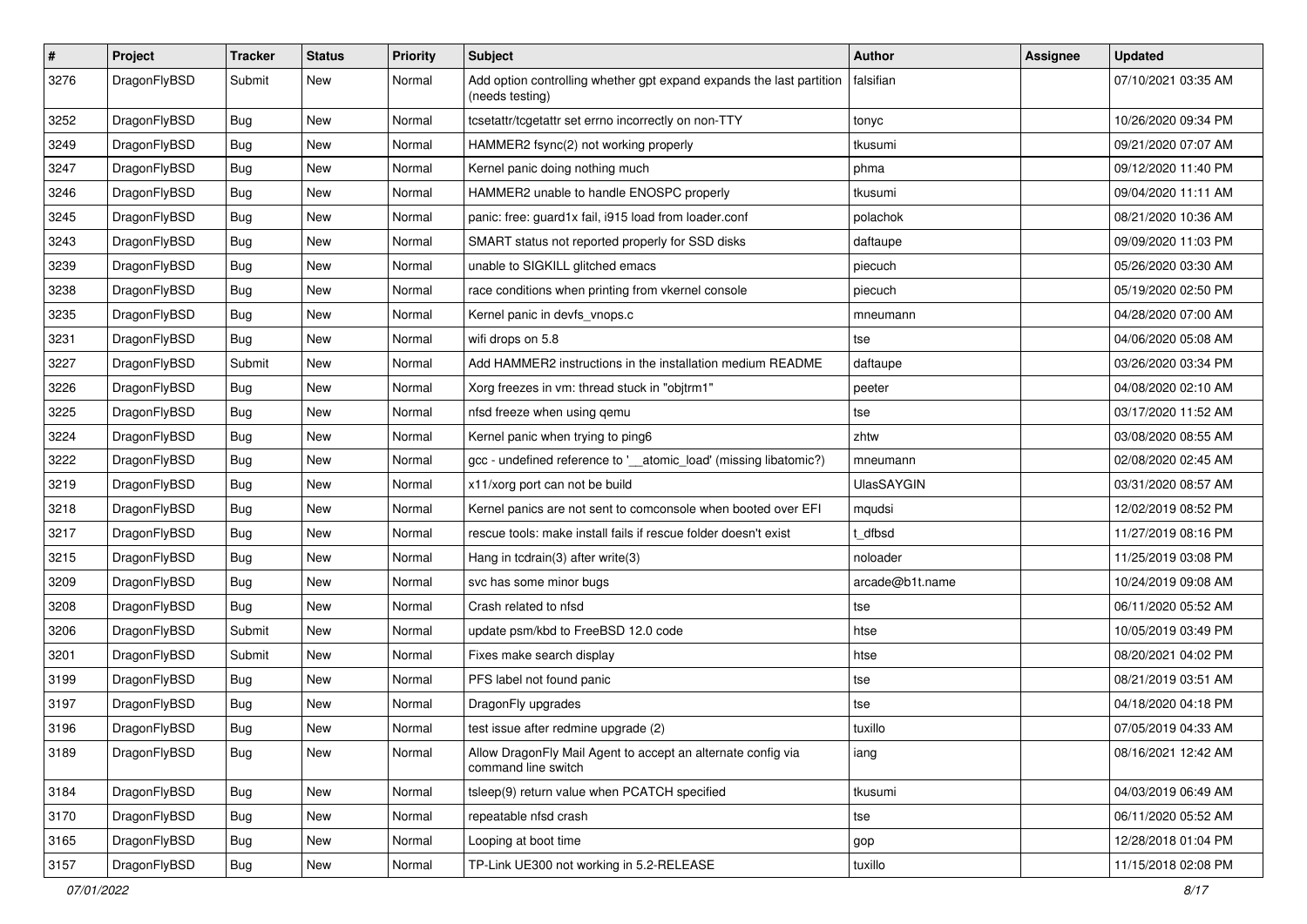| $\sharp$ | Project      | <b>Tracker</b> | <b>Status</b> | <b>Priority</b> | Subject                                                                                 | Author            | Assignee | <b>Updated</b>      |
|----------|--------------|----------------|---------------|-----------------|-----------------------------------------------------------------------------------------|-------------------|----------|---------------------|
| 3276     | DragonFlyBSD | Submit         | <b>New</b>    | Normal          | Add option controlling whether gpt expand expands the last partition<br>(needs testing) | falsifian         |          | 07/10/2021 03:35 AM |
| 3252     | DragonFlyBSD | Bug            | <b>New</b>    | Normal          | tcsetattr/tcgetattr set errno incorrectly on non-TTY                                    | tonyc             |          | 10/26/2020 09:34 PM |
| 3249     | DragonFlyBSD | <b>Bug</b>     | <b>New</b>    | Normal          | HAMMER2 fsync(2) not working properly                                                   | tkusumi           |          | 09/21/2020 07:07 AM |
| 3247     | DragonFlyBSD | Bug            | <b>New</b>    | Normal          | Kernel panic doing nothing much                                                         | phma              |          | 09/12/2020 11:40 PM |
| 3246     | DragonFlyBSD | <b>Bug</b>     | <b>New</b>    | Normal          | HAMMER2 unable to handle ENOSPC properly                                                | tkusumi           |          | 09/04/2020 11:11 AM |
| 3245     | DragonFlyBSD | <b>Bug</b>     | <b>New</b>    | Normal          | panic: free: guard1x fail, i915 load from loader.conf                                   | polachok          |          | 08/21/2020 10:36 AM |
| 3243     | DragonFlyBSD | <b>Bug</b>     | <b>New</b>    | Normal          | SMART status not reported properly for SSD disks                                        | daftaupe          |          | 09/09/2020 11:03 PM |
| 3239     | DragonFlyBSD | <b>Bug</b>     | New           | Normal          | unable to SIGKILL glitched emacs                                                        | piecuch           |          | 05/26/2020 03:30 AM |
| 3238     | DragonFlyBSD | Bug            | <b>New</b>    | Normal          | race conditions when printing from vkernel console                                      | piecuch           |          | 05/19/2020 02:50 PM |
| 3235     | DragonFlyBSD | <b>Bug</b>     | <b>New</b>    | Normal          | Kernel panic in devfs_vnops.c                                                           | mneumann          |          | 04/28/2020 07:00 AM |
| 3231     | DragonFlyBSD | Bug            | New           | Normal          | wifi drops on 5.8                                                                       | tse               |          | 04/06/2020 05:08 AM |
| 3227     | DragonFlyBSD | Submit         | <b>New</b>    | Normal          | Add HAMMER2 instructions in the installation medium README                              | daftaupe          |          | 03/26/2020 03:34 PM |
| 3226     | DragonFlyBSD | Bug            | New           | Normal          | Xorg freezes in vm: thread stuck in "objtrm1"                                           | peeter            |          | 04/08/2020 02:10 AM |
| 3225     | DragonFlyBSD | Bug            | <b>New</b>    | Normal          | nfsd freeze when using gemu                                                             | tse               |          | 03/17/2020 11:52 AM |
| 3224     | DragonFlyBSD | Bug            | <b>New</b>    | Normal          | Kernel panic when trying to ping6                                                       | zhtw              |          | 03/08/2020 08:55 AM |
| 3222     | DragonFlyBSD | <b>Bug</b>     | <b>New</b>    | Normal          | gcc - undefined reference to '_atomic_load' (missing libatomic?)                        | mneumann          |          | 02/08/2020 02:45 AM |
| 3219     | DragonFlyBSD | Bug            | <b>New</b>    | Normal          | x11/xorg port can not be build                                                          | <b>UlasSAYGIN</b> |          | 03/31/2020 08:57 AM |
| 3218     | DragonFlyBSD | <b>Bug</b>     | New           | Normal          | Kernel panics are not sent to comconsole when booted over EFI                           | mqudsi            |          | 12/02/2019 08:52 PM |
| 3217     | DragonFlyBSD | <b>Bug</b>     | <b>New</b>    | Normal          | rescue tools: make install fails if rescue folder doesn't exist                         | t dfbsd           |          | 11/27/2019 08:16 PM |
| 3215     | DragonFlyBSD | <b>Bug</b>     | New           | Normal          | Hang in tcdrain(3) after write(3)                                                       | noloader          |          | 11/25/2019 03:08 PM |
| 3209     | DragonFlyBSD | <b>Bug</b>     | <b>New</b>    | Normal          | svc has some minor bugs                                                                 | arcade@b1t.name   |          | 10/24/2019 09:08 AM |
| 3208     | DragonFlyBSD | Bug            | <b>New</b>    | Normal          | Crash related to nfsd                                                                   | tse               |          | 06/11/2020 05:52 AM |
| 3206     | DragonFlyBSD | Submit         | New           | Normal          | update psm/kbd to FreeBSD 12.0 code                                                     | htse              |          | 10/05/2019 03:49 PM |
| 3201     | DragonFlyBSD | Submit         | <b>New</b>    | Normal          | Fixes make search display                                                               | htse              |          | 08/20/2021 04:02 PM |
| 3199     | DragonFlyBSD | Bug            | New           | Normal          | PFS label not found panic                                                               | tse               |          | 08/21/2019 03:51 AM |
| 3197     | DragonFlyBSD | <b>Bug</b>     | New           | Normal          | DragonFly upgrades                                                                      | tse               |          | 04/18/2020 04:18 PM |
| 3196     | DragonFlyBSD | Bug            | New           | Normal          | test issue after redmine upgrade (2)                                                    | tuxillo           |          | 07/05/2019 04:33 AM |
| 3189     | DragonFlyBSD | <b>Bug</b>     | New           | Normal          | Allow DragonFly Mail Agent to accept an alternate config via<br>command line switch     | iang              |          | 08/16/2021 12:42 AM |
| 3184     | DragonFlyBSD | <b>Bug</b>     | New           | Normal          | tsleep(9) return value when PCATCH specified                                            | tkusumi           |          | 04/03/2019 06:49 AM |
| 3170     | DragonFlyBSD | <b>Bug</b>     | New           | Normal          | repeatable nfsd crash                                                                   | tse               |          | 06/11/2020 05:52 AM |
| 3165     | DragonFlyBSD | <b>Bug</b>     | New           | Normal          | Looping at boot time                                                                    | gop               |          | 12/28/2018 01:04 PM |
| 3157     | DragonFlyBSD | <b>Bug</b>     | New           | Normal          | TP-Link UE300 not working in 5.2-RELEASE                                                | tuxillo           |          | 11/15/2018 02:08 PM |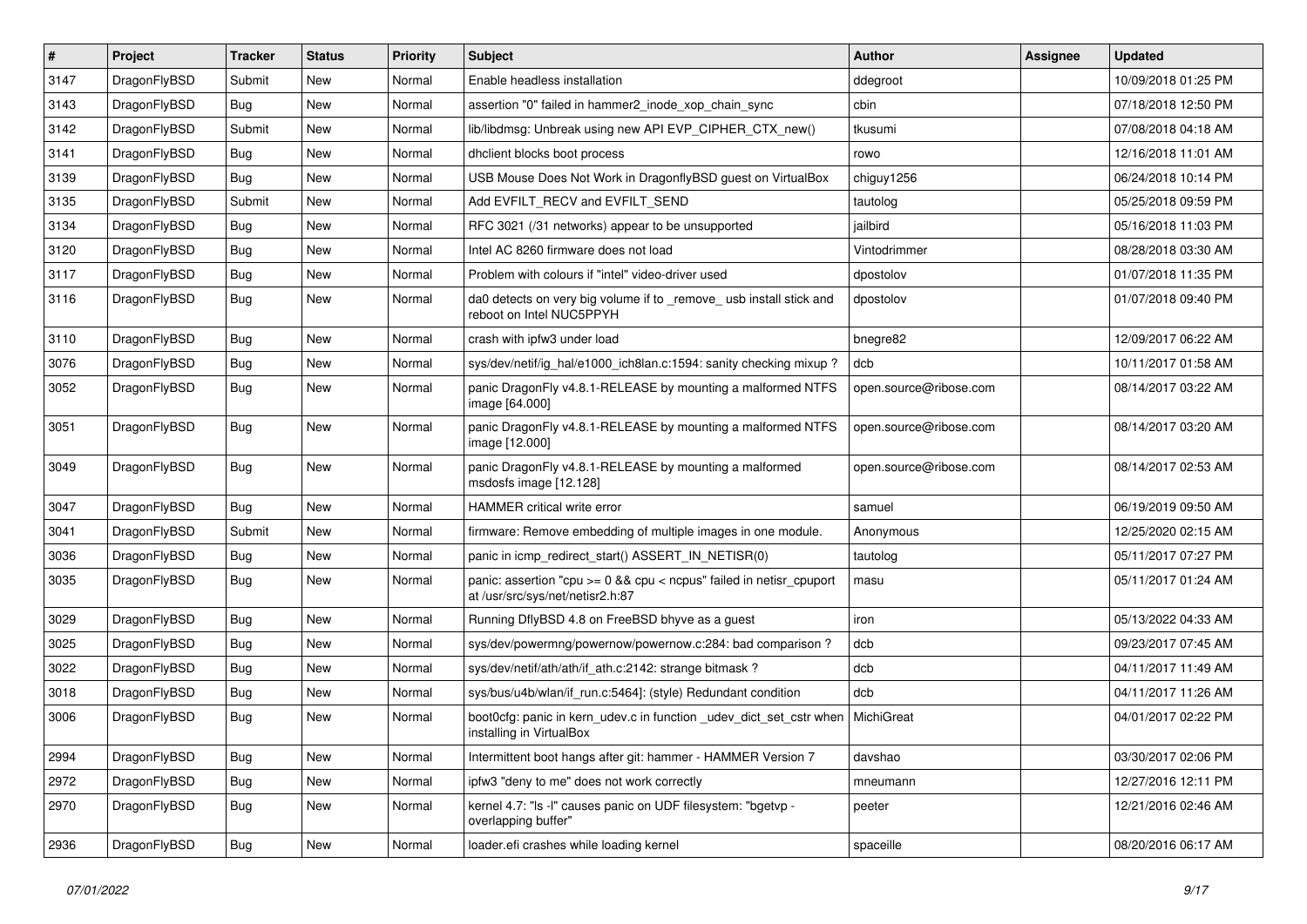| $\vert$ # | Project      | <b>Tracker</b> | <b>Status</b> | <b>Priority</b> | Subject                                                                                                 | <b>Author</b>          | Assignee | <b>Updated</b>      |
|-----------|--------------|----------------|---------------|-----------------|---------------------------------------------------------------------------------------------------------|------------------------|----------|---------------------|
| 3147      | DragonFlyBSD | Submit         | New           | Normal          | Enable headless installation                                                                            | ddegroot               |          | 10/09/2018 01:25 PM |
| 3143      | DragonFlyBSD | Bug            | <b>New</b>    | Normal          | assertion "0" failed in hammer2 inode xop chain sync                                                    | cbin                   |          | 07/18/2018 12:50 PM |
| 3142      | DragonFlyBSD | Submit         | New           | Normal          | lib/libdmsg: Unbreak using new API EVP_CIPHER_CTX_new()                                                 | tkusumi                |          | 07/08/2018 04:18 AM |
| 3141      | DragonFlyBSD | Bug            | New           | Normal          | dhclient blocks boot process                                                                            | rowo                   |          | 12/16/2018 11:01 AM |
| 3139      | DragonFlyBSD | Bug            | <b>New</b>    | Normal          | USB Mouse Does Not Work in DragonflyBSD guest on VirtualBox                                             | chiguy1256             |          | 06/24/2018 10:14 PM |
| 3135      | DragonFlyBSD | Submit         | New           | Normal          | Add EVFILT_RECV and EVFILT_SEND                                                                         | tautolog               |          | 05/25/2018 09:59 PM |
| 3134      | DragonFlyBSD | Bug            | <b>New</b>    | Normal          | RFC 3021 (/31 networks) appear to be unsupported                                                        | jailbird               |          | 05/16/2018 11:03 PM |
| 3120      | DragonFlyBSD | Bug            | New           | Normal          | Intel AC 8260 firmware does not load                                                                    | Vintodrimmer           |          | 08/28/2018 03:30 AM |
| 3117      | DragonFlyBSD | Bug            | New           | Normal          | Problem with colours if "intel" video-driver used                                                       | dpostolov              |          | 01/07/2018 11:35 PM |
| 3116      | DragonFlyBSD | <b>Bug</b>     | <b>New</b>    | Normal          | da0 detects on very big volume if to _remove_ usb install stick and<br>reboot on Intel NUC5PPYH         | dpostolov              |          | 01/07/2018 09:40 PM |
| 3110      | DragonFlyBSD | Bug            | <b>New</b>    | Normal          | crash with ipfw3 under load                                                                             | bnegre82               |          | 12/09/2017 06:22 AM |
| 3076      | DragonFlyBSD | Bug            | <b>New</b>    | Normal          | sys/dev/netif/ig hal/e1000 ich8lan.c:1594: sanity checking mixup?                                       | dcb                    |          | 10/11/2017 01:58 AM |
| 3052      | DragonFlyBSD | Bug            | New           | Normal          | panic DragonFly v4.8.1-RELEASE by mounting a malformed NTFS<br>image [64.000]                           | open.source@ribose.com |          | 08/14/2017 03:22 AM |
| 3051      | DragonFlyBSD | Bug            | New           | Normal          | panic DragonFly v4.8.1-RELEASE by mounting a malformed NTFS<br>image [12.000]                           | open.source@ribose.com |          | 08/14/2017 03:20 AM |
| 3049      | DragonFlyBSD | Bug            | <b>New</b>    | Normal          | panic DragonFly v4.8.1-RELEASE by mounting a malformed<br>msdosfs image [12.128]                        | open.source@ribose.com |          | 08/14/2017 02:53 AM |
| 3047      | DragonFlyBSD | Bug            | <b>New</b>    | Normal          | <b>HAMMER</b> critical write error                                                                      | samuel                 |          | 06/19/2019 09:50 AM |
| 3041      | DragonFlyBSD | Submit         | <b>New</b>    | Normal          | firmware: Remove embedding of multiple images in one module.                                            | Anonymous              |          | 12/25/2020 02:15 AM |
| 3036      | DragonFlyBSD | Bug            | New           | Normal          | panic in icmp redirect start() ASSERT IN NETISR(0)                                                      | tautolog               |          | 05/11/2017 07:27 PM |
| 3035      | DragonFlyBSD | Bug            | New           | Normal          | panic: assertion "cpu >= 0 && cpu < ncpus" failed in netisr_cpuport<br>at /usr/src/sys/net/netisr2.h:87 | masu                   |          | 05/11/2017 01:24 AM |
| 3029      | DragonFlyBSD | <b>Bug</b>     | <b>New</b>    | Normal          | Running DflyBSD 4.8 on FreeBSD bhyve as a guest                                                         | iron                   |          | 05/13/2022 04:33 AM |
| 3025      | DragonFlyBSD | Bug            | <b>New</b>    | Normal          | sys/dev/powermng/powernow/powernow.c:284: bad comparison?                                               | dcb                    |          | 09/23/2017 07:45 AM |
| 3022      | DragonFlyBSD | Bug            | New           | Normal          | sys/dev/netif/ath/ath/if_ath.c:2142: strange bitmask?                                                   | dcb                    |          | 04/11/2017 11:49 AM |
| 3018      | DragonFlyBSD | Bug            | New           | Normal          | sys/bus/u4b/wlan/if_run.c:5464]: (style) Redundant condition                                            | dcb                    |          | 04/11/2017 11:26 AM |
| 3006      | DragonFlyBSD | Bug            | New           | Normal          | boot0cfg: panic in kern_udev.c in function _udev_dict_set_cstr when<br>installing in VirtualBox         | MichiGreat             |          | 04/01/2017 02:22 PM |
| 2994      | DragonFlyBSD | Bug            | New           | Normal          | Intermittent boot hangs after git: hammer - HAMMER Version 7                                            | davshao                |          | 03/30/2017 02:06 PM |
| 2972      | DragonFlyBSD | Bug            | New           | Normal          | ipfw3 "deny to me" does not work correctly                                                              | mneumann               |          | 12/27/2016 12:11 PM |
| 2970      | DragonFlyBSD | <b>Bug</b>     | New           | Normal          | kernel 4.7: "Is -I" causes panic on UDF filesystem: "bgetvp -<br>overlapping buffer"                    | peeter                 |          | 12/21/2016 02:46 AM |
| 2936      | DragonFlyBSD | <b>Bug</b>     | New           | Normal          | loader.efi crashes while loading kernel                                                                 | spaceille              |          | 08/20/2016 06:17 AM |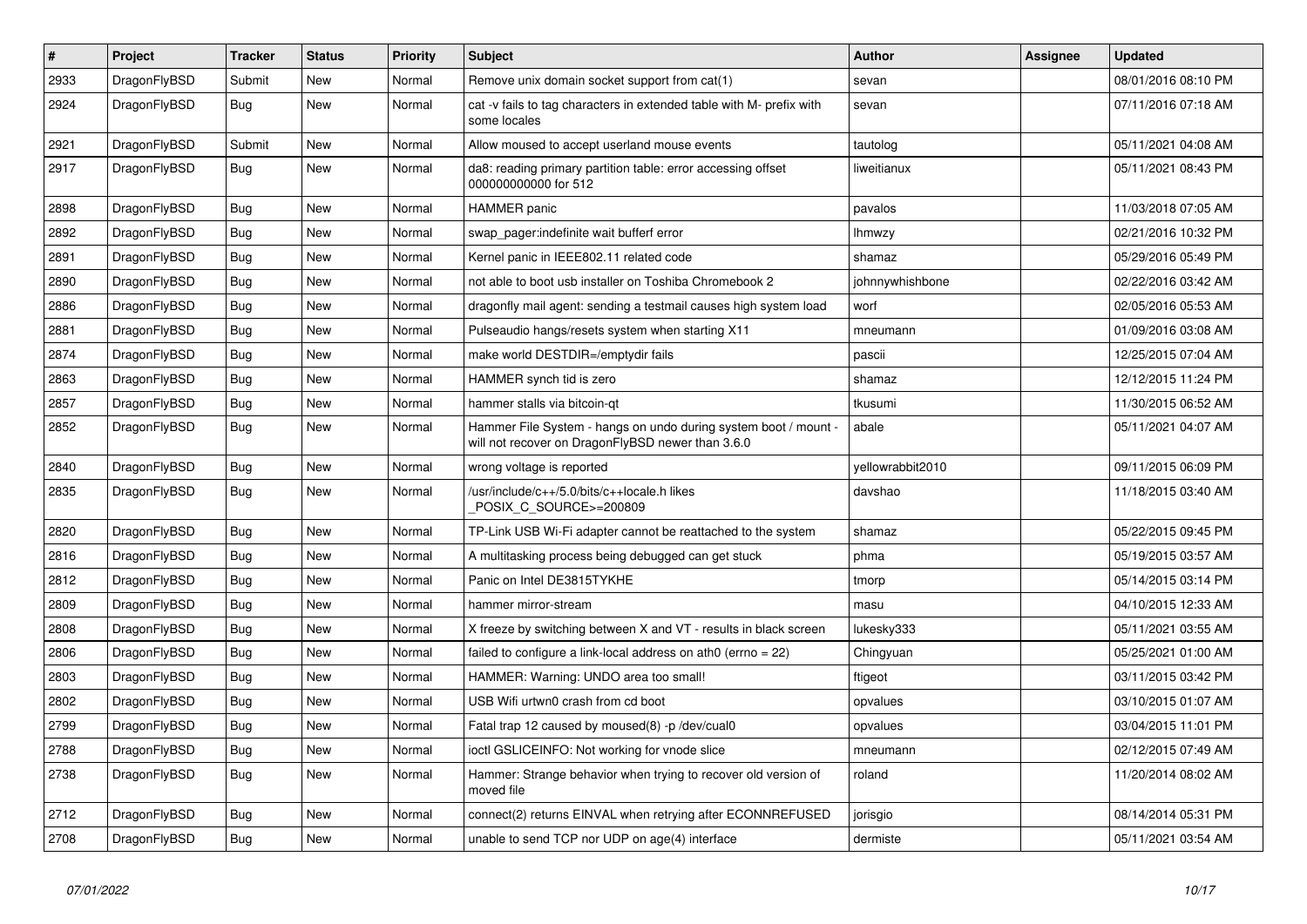| $\pmb{\#}$ | Project      | <b>Tracker</b> | <b>Status</b> | <b>Priority</b> | <b>Subject</b>                                                                                                       | <b>Author</b>    | Assignee | <b>Updated</b>      |
|------------|--------------|----------------|---------------|-----------------|----------------------------------------------------------------------------------------------------------------------|------------------|----------|---------------------|
| 2933       | DragonFlyBSD | Submit         | <b>New</b>    | Normal          | Remove unix domain socket support from cat(1)                                                                        | sevan            |          | 08/01/2016 08:10 PM |
| 2924       | DragonFlyBSD | Bug            | <b>New</b>    | Normal          | cat -v fails to tag characters in extended table with M- prefix with<br>some locales                                 | sevan            |          | 07/11/2016 07:18 AM |
| 2921       | DragonFlyBSD | Submit         | <b>New</b>    | Normal          | Allow moused to accept userland mouse events                                                                         | tautolog         |          | 05/11/2021 04:08 AM |
| 2917       | DragonFlyBSD | Bug            | New           | Normal          | da8: reading primary partition table: error accessing offset<br>000000000000 for 512                                 | liweitianux      |          | 05/11/2021 08:43 PM |
| 2898       | DragonFlyBSD | <b>Bug</b>     | <b>New</b>    | Normal          | <b>HAMMER</b> panic                                                                                                  | pavalos          |          | 11/03/2018 07:05 AM |
| 2892       | DragonFlyBSD | Bug            | <b>New</b>    | Normal          | swap pager:indefinite wait bufferf error                                                                             | lhmwzy           |          | 02/21/2016 10:32 PM |
| 2891       | DragonFlyBSD | Bug            | <b>New</b>    | Normal          | Kernel panic in IEEE802.11 related code                                                                              | shamaz           |          | 05/29/2016 05:49 PM |
| 2890       | DragonFlyBSD | Bug            | <b>New</b>    | Normal          | not able to boot usb installer on Toshiba Chromebook 2                                                               | johnnywhishbone  |          | 02/22/2016 03:42 AM |
| 2886       | DragonFlyBSD | Bug            | <b>New</b>    | Normal          | dragonfly mail agent: sending a testmail causes high system load                                                     | worf             |          | 02/05/2016 05:53 AM |
| 2881       | DragonFlyBSD | <b>Bug</b>     | <b>New</b>    | Normal          | Pulseaudio hangs/resets system when starting X11                                                                     | mneumann         |          | 01/09/2016 03:08 AM |
| 2874       | DragonFlyBSD | Bug            | <b>New</b>    | Normal          | make world DESTDIR=/emptydir fails                                                                                   | pascii           |          | 12/25/2015 07:04 AM |
| 2863       | DragonFlyBSD | Bug            | New           | Normal          | HAMMER synch tid is zero                                                                                             | shamaz           |          | 12/12/2015 11:24 PM |
| 2857       | DragonFlyBSD | <b>Bug</b>     | New           | Normal          | hammer stalls via bitcoin-qt                                                                                         | tkusumi          |          | 11/30/2015 06:52 AM |
| 2852       | DragonFlyBSD | Bug            | <b>New</b>    | Normal          | Hammer File System - hangs on undo during system boot / mount -<br>will not recover on DragonFlyBSD newer than 3.6.0 | abale            |          | 05/11/2021 04:07 AM |
| 2840       | DragonFlyBSD | <b>Bug</b>     | <b>New</b>    | Normal          | wrong voltage is reported                                                                                            | vellowrabbit2010 |          | 09/11/2015 06:09 PM |
| 2835       | DragonFlyBSD | <b>Bug</b>     | <b>New</b>    | Normal          | /usr/include/c++/5.0/bits/c++locale.h likes<br>POSIX C SOURCE>=200809                                                | davshao          |          | 11/18/2015 03:40 AM |
| 2820       | DragonFlyBSD | <b>Bug</b>     | <b>New</b>    | Normal          | TP-Link USB Wi-Fi adapter cannot be reattached to the system                                                         | shamaz           |          | 05/22/2015 09:45 PM |
| 2816       | DragonFlyBSD | Bug            | <b>New</b>    | Normal          | A multitasking process being debugged can get stuck                                                                  | phma             |          | 05/19/2015 03:57 AM |
| 2812       | DragonFlyBSD | Bug            | <b>New</b>    | Normal          | Panic on Intel DE3815TYKHE                                                                                           | tmorp            |          | 05/14/2015 03:14 PM |
| 2809       | DragonFlyBSD | <b>Bug</b>     | New           | Normal          | hammer mirror-stream                                                                                                 | masu             |          | 04/10/2015 12:33 AM |
| 2808       | DragonFlyBSD | <b>Bug</b>     | <b>New</b>    | Normal          | X freeze by switching between X and VT - results in black screen                                                     | lukesky333       |          | 05/11/2021 03:55 AM |
| 2806       | DragonFlyBSD | Bug            | <b>New</b>    | Normal          | failed to configure a link-local address on ath0 (errno = $22$ )                                                     | Chingyuan        |          | 05/25/2021 01:00 AM |
| 2803       | DragonFlyBSD | Bug            | <b>New</b>    | Normal          | HAMMER: Warning: UNDO area too small!                                                                                | ftigeot          |          | 03/11/2015 03:42 PM |
| 2802       | DragonFlyBSD | <b>Bug</b>     | <b>New</b>    | Normal          | USB Wifi urtwn0 crash from cd boot                                                                                   | opvalues         |          | 03/10/2015 01:07 AM |
| 2799       | DragonFlyBSD | <b>Bug</b>     | <b>New</b>    | Normal          | Fatal trap 12 caused by moused(8) -p /dev/cual0                                                                      | opvalues         |          | 03/04/2015 11:01 PM |
| 2788       | DragonFlyBSD | Bug            | <b>New</b>    | Normal          | ioctl GSLICEINFO: Not working for vnode slice                                                                        | mneumann         |          | 02/12/2015 07:49 AM |
| 2738       | DragonFlyBSD | <b>Bug</b>     | New           | Normal          | Hammer: Strange behavior when trying to recover old version of<br>moved file                                         | roland           |          | 11/20/2014 08:02 AM |
| 2712       | DragonFlyBSD | Bug            | <b>New</b>    | Normal          | connect(2) returns EINVAL when retrying after ECONNREFUSED                                                           | jorisgio         |          | 08/14/2014 05:31 PM |
| 2708       | DragonFlyBSD | Bug            | New           | Normal          | unable to send TCP nor UDP on age(4) interface                                                                       | dermiste         |          | 05/11/2021 03:54 AM |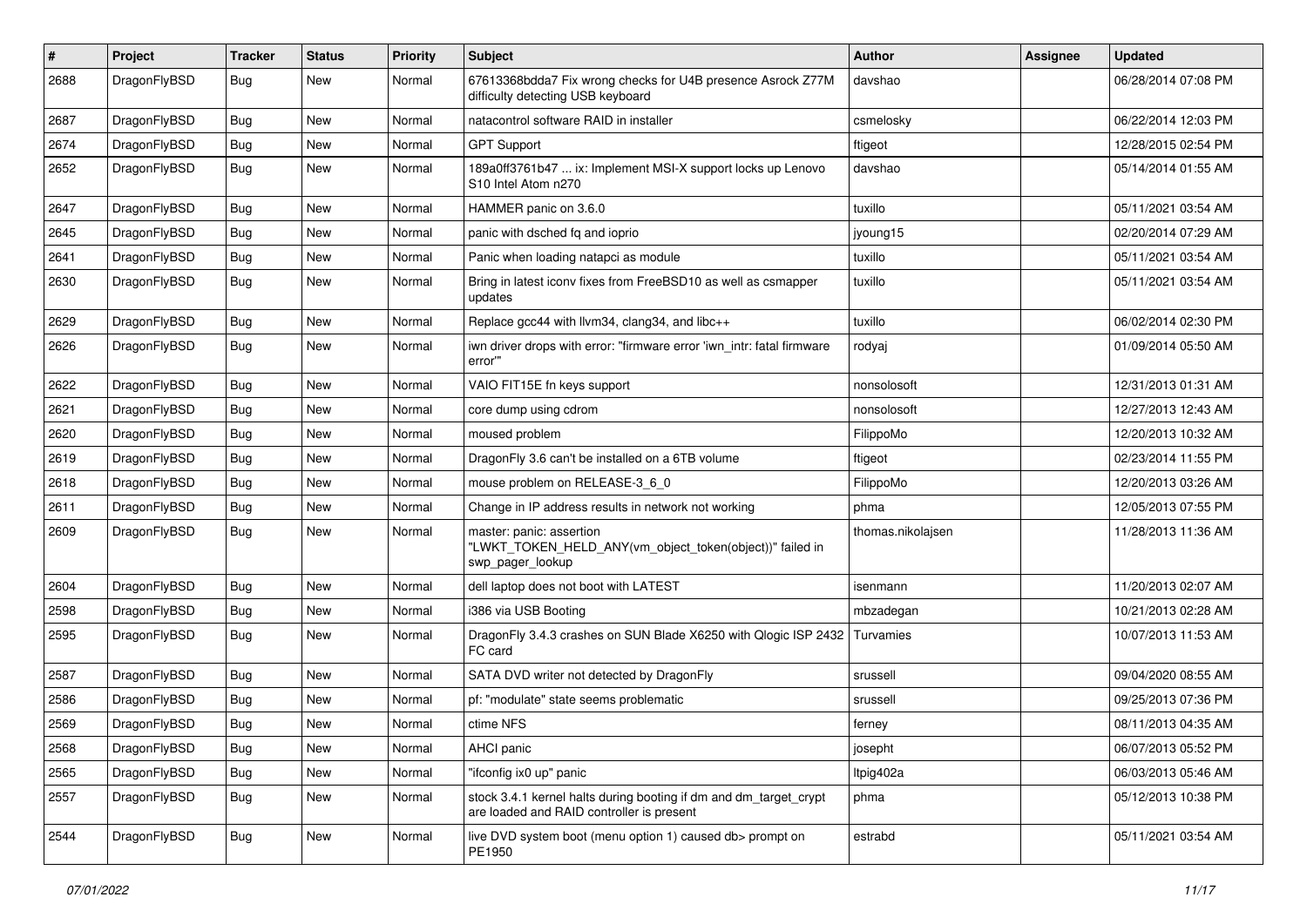| #    | Project      | <b>Tracker</b> | <b>Status</b> | <b>Priority</b> | Subject                                                                                                        | <b>Author</b>     | Assignee | <b>Updated</b>      |
|------|--------------|----------------|---------------|-----------------|----------------------------------------------------------------------------------------------------------------|-------------------|----------|---------------------|
| 2688 | DragonFlyBSD | Bug            | New           | Normal          | 67613368bdda7 Fix wrong checks for U4B presence Asrock Z77M<br>difficulty detecting USB keyboard               | davshao           |          | 06/28/2014 07:08 PM |
| 2687 | DragonFlyBSD | Bug            | <b>New</b>    | Normal          | natacontrol software RAID in installer                                                                         | csmelosky         |          | 06/22/2014 12:03 PM |
| 2674 | DragonFlyBSD | <b>Bug</b>     | <b>New</b>    | Normal          | <b>GPT Support</b>                                                                                             | ftigeot           |          | 12/28/2015 02:54 PM |
| 2652 | DragonFlyBSD | Bug            | New           | Normal          | 189a0ff3761b47  ix: Implement MSI-X support locks up Lenovo<br>S <sub>10</sub> Intel Atom n <sub>270</sub>     | davshao           |          | 05/14/2014 01:55 AM |
| 2647 | DragonFlyBSD | Bug            | <b>New</b>    | Normal          | HAMMER panic on 3.6.0                                                                                          | tuxillo           |          | 05/11/2021 03:54 AM |
| 2645 | DragonFlyBSD | Bug            | New           | Normal          | panic with dsched fq and ioprio                                                                                | jyoung15          |          | 02/20/2014 07:29 AM |
| 2641 | DragonFlyBSD | Bug            | New           | Normal          | Panic when loading natapci as module                                                                           | tuxillo           |          | 05/11/2021 03:54 AM |
| 2630 | DragonFlyBSD | <b>Bug</b>     | New           | Normal          | Bring in latest iconv fixes from FreeBSD10 as well as csmapper<br>updates                                      | tuxillo           |          | 05/11/2021 03:54 AM |
| 2629 | DragonFlyBSD | Bug            | <b>New</b>    | Normal          | Replace gcc44 with llvm34, clang34, and libc++                                                                 | tuxillo           |          | 06/02/2014 02:30 PM |
| 2626 | DragonFlyBSD | Bug            | New           | Normal          | iwn driver drops with error: "firmware error 'iwn_intr: fatal firmware<br>error""                              | rodyaj            |          | 01/09/2014 05:50 AM |
| 2622 | DragonFlyBSD | Bug            | New           | Normal          | VAIO FIT15E fn keys support                                                                                    | nonsolosoft       |          | 12/31/2013 01:31 AM |
| 2621 | DragonFlyBSD | Bug            | New           | Normal          | core dump using cdrom                                                                                          | nonsolosoft       |          | 12/27/2013 12:43 AM |
| 2620 | DragonFlyBSD | <b>Bug</b>     | New           | Normal          | moused problem                                                                                                 | FilippoMo         |          | 12/20/2013 10:32 AM |
| 2619 | DragonFlyBSD | <b>Bug</b>     | <b>New</b>    | Normal          | DragonFly 3.6 can't be installed on a 6TB volume                                                               | ftigeot           |          | 02/23/2014 11:55 PM |
| 2618 | DragonFlyBSD | <b>Bug</b>     | New           | Normal          | mouse problem on RELEASE-3 6 0                                                                                 | FilippoMo         |          | 12/20/2013 03:26 AM |
| 2611 | DragonFlyBSD | <b>Bug</b>     | New           | Normal          | Change in IP address results in network not working                                                            | phma              |          | 12/05/2013 07:55 PM |
| 2609 | DragonFlyBSD | <b>Bug</b>     | <b>New</b>    | Normal          | master: panic: assertion<br>"LWKT_TOKEN_HELD_ANY(vm_object_token(object))" failed in<br>swp_pager_lookup       | thomas.nikolajsen |          | 11/28/2013 11:36 AM |
| 2604 | DragonFlyBSD | <b>Bug</b>     | <b>New</b>    | Normal          | dell laptop does not boot with LATEST                                                                          | isenmann          |          | 11/20/2013 02:07 AM |
| 2598 | DragonFlyBSD | <b>Bug</b>     | New           | Normal          | i386 via USB Booting                                                                                           | mbzadegan         |          | 10/21/2013 02:28 AM |
| 2595 | DragonFlyBSD | <b>Bug</b>     | New           | Normal          | DragonFly 3.4.3 crashes on SUN Blade X6250 with Qlogic ISP 2432<br>FC card                                     | Turvamies         |          | 10/07/2013 11:53 AM |
| 2587 | DragonFlyBSD | <b>Bug</b>     | <b>New</b>    | Normal          | SATA DVD writer not detected by DragonFly                                                                      | srussell          |          | 09/04/2020 08:55 AM |
| 2586 | DragonFlyBSD | <b>Bug</b>     | New           | Normal          | pf: "modulate" state seems problematic                                                                         | srussell          |          | 09/25/2013 07:36 PM |
| 2569 | DragonFlyBSD | <b>Bug</b>     | <b>New</b>    | Normal          | ctime NFS                                                                                                      | ferney            |          | 08/11/2013 04:35 AM |
| 2568 | DragonFlyBSD | <b>Bug</b>     | New           | Normal          | AHCI panic                                                                                                     | josepht           |          | 06/07/2013 05:52 PM |
| 2565 | DragonFlyBSD | <b>Bug</b>     | <b>New</b>    | Normal          | "ifconfig ix0 up" panic                                                                                        | Itpig402a         |          | 06/03/2013 05:46 AM |
| 2557 | DragonFlyBSD | Bug            | New           | Normal          | stock 3.4.1 kernel halts during booting if dm and dm_target_crypt<br>are loaded and RAID controller is present | phma              |          | 05/12/2013 10:38 PM |
| 2544 | DragonFlyBSD | <b>Bug</b>     | New           | Normal          | live DVD system boot (menu option 1) caused db> prompt on<br>PE1950                                            | estrabd           |          | 05/11/2021 03:54 AM |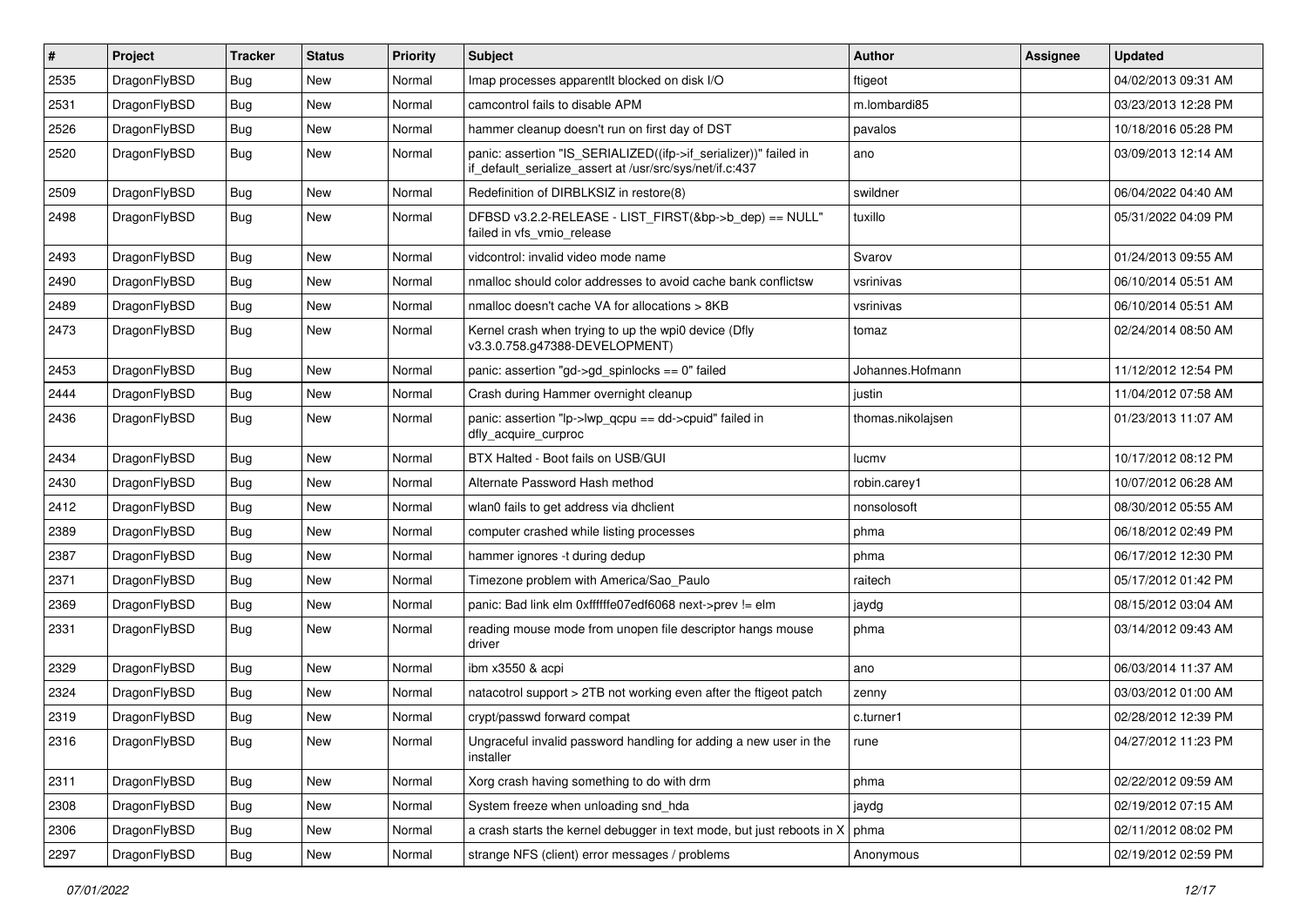| #    | Project      | <b>Tracker</b> | <b>Status</b> | <b>Priority</b> | Subject                                                                                                                      | <b>Author</b>     | Assignee | <b>Updated</b>      |
|------|--------------|----------------|---------------|-----------------|------------------------------------------------------------------------------------------------------------------------------|-------------------|----------|---------------------|
| 2535 | DragonFlyBSD | <b>Bug</b>     | <b>New</b>    | Normal          | Imap processes apparentlt blocked on disk I/O                                                                                | ftigeot           |          | 04/02/2013 09:31 AM |
| 2531 | DragonFlyBSD | <b>Bug</b>     | <b>New</b>    | Normal          | camcontrol fails to disable APM                                                                                              | m.lombardi85      |          | 03/23/2013 12:28 PM |
| 2526 | DragonFlyBSD | <b>Bug</b>     | New           | Normal          | hammer cleanup doesn't run on first day of DST                                                                               | pavalos           |          | 10/18/2016 05:28 PM |
| 2520 | DragonFlyBSD | <b>Bug</b>     | New           | Normal          | panic: assertion "IS_SERIALIZED((ifp->if_serializer))" failed in<br>if_default_serialize_assert at /usr/src/sys/net/if.c:437 | ano               |          | 03/09/2013 12:14 AM |
| 2509 | DragonFlyBSD | Bug            | New           | Normal          | Redefinition of DIRBLKSIZ in restore(8)                                                                                      | swildner          |          | 06/04/2022 04:40 AM |
| 2498 | DragonFlyBSD | <b>Bug</b>     | New           | Normal          | DFBSD v3.2.2-RELEASE - LIST_FIRST(&bp->b_dep) == NULL"<br>failed in vfs vmio release                                         | tuxillo           |          | 05/31/2022 04:09 PM |
| 2493 | DragonFlyBSD | <b>Bug</b>     | <b>New</b>    | Normal          | vidcontrol: invalid video mode name                                                                                          | Svarov            |          | 01/24/2013 09:55 AM |
| 2490 | DragonFlyBSD | <b>Bug</b>     | New           | Normal          | nmalloc should color addresses to avoid cache bank conflictsw                                                                | vsrinivas         |          | 06/10/2014 05:51 AM |
| 2489 | DragonFlyBSD | <b>Bug</b>     | New           | Normal          | nmalloc doesn't cache VA for allocations > 8KB                                                                               | vsrinivas         |          | 06/10/2014 05:51 AM |
| 2473 | DragonFlyBSD | <b>Bug</b>     | New           | Normal          | Kernel crash when trying to up the wpi0 device (Dfly<br>v3.3.0.758.q47388-DEVELOPMENT)                                       | tomaz             |          | 02/24/2014 08:50 AM |
| 2453 | DragonFlyBSD | Bug            | New           | Normal          | panic: assertion "gd->gd_spinlocks == 0" failed                                                                              | Johannes.Hofmann  |          | 11/12/2012 12:54 PM |
| 2444 | DragonFlyBSD | <b>Bug</b>     | <b>New</b>    | Normal          | Crash during Hammer overnight cleanup                                                                                        | justin            |          | 11/04/2012 07:58 AM |
| 2436 | DragonFlyBSD | <b>Bug</b>     | New           | Normal          | panic: assertion "lp->lwp_qcpu == dd->cpuid" failed in<br>dfly_acquire_curproc                                               | thomas.nikolajsen |          | 01/23/2013 11:07 AM |
| 2434 | DragonFlyBSD | <b>Bug</b>     | <b>New</b>    | Normal          | BTX Halted - Boot fails on USB/GUI                                                                                           | lucmv             |          | 10/17/2012 08:12 PM |
| 2430 | DragonFlyBSD | <b>Bug</b>     | New           | Normal          | Alternate Password Hash method                                                                                               | robin.carey1      |          | 10/07/2012 06:28 AM |
| 2412 | DragonFlyBSD | Bug            | New           | Normal          | wlan0 fails to get address via dhclient                                                                                      | nonsolosoft       |          | 08/30/2012 05:55 AM |
| 2389 | DragonFlyBSD | Bug            | New           | Normal          | computer crashed while listing processes                                                                                     | phma              |          | 06/18/2012 02:49 PM |
| 2387 | DragonFlyBSD | <b>Bug</b>     | New           | Normal          | hammer ignores -t during dedup                                                                                               | phma              |          | 06/17/2012 12:30 PM |
| 2371 | DragonFlyBSD | <b>Bug</b>     | New           | Normal          | Timezone problem with America/Sao_Paulo                                                                                      | raitech           |          | 05/17/2012 01:42 PM |
| 2369 | DragonFlyBSD | <b>Bug</b>     | New           | Normal          | panic: Bad link elm 0xffffffe07edf6068 next->prev != elm                                                                     | jaydg             |          | 08/15/2012 03:04 AM |
| 2331 | DragonFlyBSD | Bug            | New           | Normal          | reading mouse mode from unopen file descriptor hangs mouse<br>driver                                                         | phma              |          | 03/14/2012 09:43 AM |
| 2329 | DragonFlyBSD | <b>Bug</b>     | New           | Normal          | ibm x3550 & acpi                                                                                                             | ano               |          | 06/03/2014 11:37 AM |
| 2324 | DragonFlyBSD | Bug            | <b>New</b>    | Normal          | natacotrol support > 2TB not working even after the ftigeot patch                                                            | zenny             |          | 03/03/2012 01:00 AM |
| 2319 | DragonFlyBSD | Bug            | <b>New</b>    | Normal          | crypt/passwd forward compat                                                                                                  | c.turner1         |          | 02/28/2012 12:39 PM |
| 2316 | DragonFlyBSD | <b>Bug</b>     | New           | Normal          | Ungraceful invalid password handling for adding a new user in the<br>installer                                               | ∣ rune            |          | 04/27/2012 11:23 PM |
| 2311 | DragonFlyBSD | Bug            | New           | Normal          | Xorg crash having something to do with drm                                                                                   | phma              |          | 02/22/2012 09:59 AM |
| 2308 | DragonFlyBSD | Bug            | New           | Normal          | System freeze when unloading snd_hda                                                                                         | jaydg             |          | 02/19/2012 07:15 AM |
| 2306 | DragonFlyBSD | <b>Bug</b>     | New           | Normal          | a crash starts the kernel debugger in text mode, but just reboots in X                                                       | phma              |          | 02/11/2012 08:02 PM |
| 2297 | DragonFlyBSD | Bug            | New           | Normal          | strange NFS (client) error messages / problems                                                                               | Anonymous         |          | 02/19/2012 02:59 PM |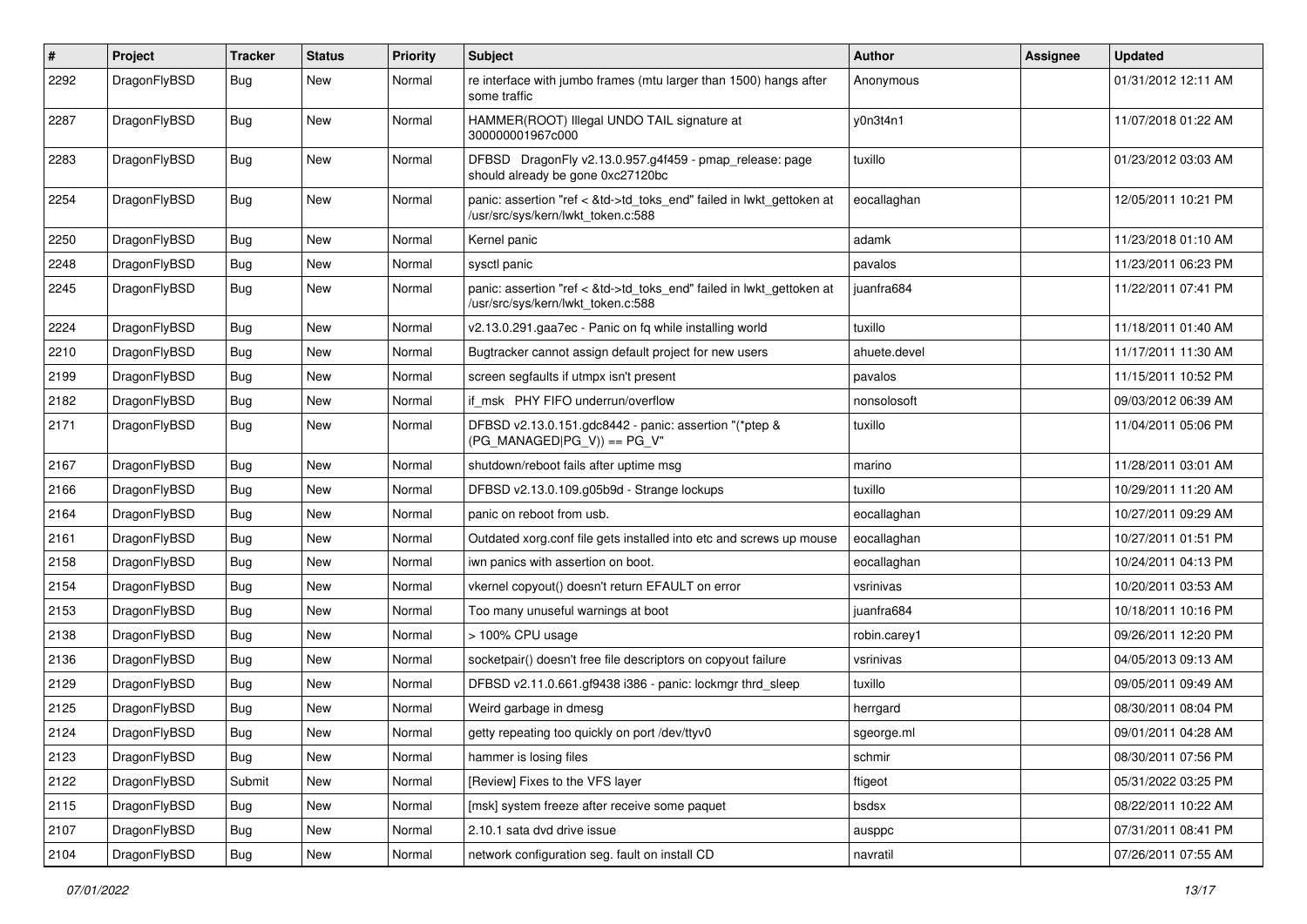| $\sharp$ | Project      | <b>Tracker</b> | <b>Status</b> | <b>Priority</b> | <b>Subject</b>                                                                                             | <b>Author</b> | Assignee | <b>Updated</b>      |
|----------|--------------|----------------|---------------|-----------------|------------------------------------------------------------------------------------------------------------|---------------|----------|---------------------|
| 2292     | DragonFlyBSD | <b>Bug</b>     | New           | Normal          | re interface with jumbo frames (mtu larger than 1500) hangs after<br>some traffic                          | Anonymous     |          | 01/31/2012 12:11 AM |
| 2287     | DragonFlyBSD | Bug            | New           | Normal          | HAMMER(ROOT) Illegal UNDO TAIL signature at<br>300000001967c000                                            | y0n3t4n1      |          | 11/07/2018 01:22 AM |
| 2283     | DragonFlyBSD | Bug            | <b>New</b>    | Normal          | DFBSD DragonFly v2.13.0.957.g4f459 - pmap_release: page<br>should already be gone 0xc27120bc               | tuxillo       |          | 01/23/2012 03:03 AM |
| 2254     | DragonFlyBSD | Bug            | <b>New</b>    | Normal          | panic: assertion "ref < &td->td_toks_end" failed in lwkt_gettoken at<br>/usr/src/sys/kern/lwkt_token.c:588 | eocallaghan   |          | 12/05/2011 10:21 PM |
| 2250     | DragonFlyBSD | Bug            | <b>New</b>    | Normal          | Kernel panic                                                                                               | adamk         |          | 11/23/2018 01:10 AM |
| 2248     | DragonFlyBSD | <b>Bug</b>     | <b>New</b>    | Normal          | sysctl panic                                                                                               | pavalos       |          | 11/23/2011 06:23 PM |
| 2245     | DragonFlyBSD | <b>Bug</b>     | <b>New</b>    | Normal          | panic: assertion "ref < &td->td_toks_end" failed in lwkt_gettoken at<br>/usr/src/sys/kern/lwkt token.c:588 | juanfra684    |          | 11/22/2011 07:41 PM |
| 2224     | DragonFlyBSD | Bug            | <b>New</b>    | Normal          | v2.13.0.291.gaa7ec - Panic on fq while installing world                                                    | tuxillo       |          | 11/18/2011 01:40 AM |
| 2210     | DragonFlyBSD | <b>Bug</b>     | New           | Normal          | Bugtracker cannot assign default project for new users                                                     | ahuete.devel  |          | 11/17/2011 11:30 AM |
| 2199     | DragonFlyBSD | <b>Bug</b>     | New           | Normal          | screen segfaults if utmpx isn't present                                                                    | pavalos       |          | 11/15/2011 10:52 PM |
| 2182     | DragonFlyBSD | <b>Bug</b>     | New           | Normal          | if msk PHY FIFO underrun/overflow                                                                          | nonsolosoft   |          | 09/03/2012 06:39 AM |
| 2171     | DragonFlyBSD | <b>Bug</b>     | New           | Normal          | DFBSD v2.13.0.151.gdc8442 - panic: assertion "(*ptep &<br>$(PG_MANAGED PG_V)) == PG_V"$                    | tuxillo       |          | 11/04/2011 05:06 PM |
| 2167     | DragonFlyBSD | <b>Bug</b>     | <b>New</b>    | Normal          | shutdown/reboot fails after uptime msg                                                                     | marino        |          | 11/28/2011 03:01 AM |
| 2166     | DragonFlyBSD | <b>Bug</b>     | New           | Normal          | DFBSD v2.13.0.109.g05b9d - Strange lockups                                                                 | tuxillo       |          | 10/29/2011 11:20 AM |
| 2164     | DragonFlyBSD | <b>Bug</b>     | <b>New</b>    | Normal          | panic on reboot from usb.                                                                                  | eocallaghan   |          | 10/27/2011 09:29 AM |
| 2161     | DragonFlyBSD | <b>Bug</b>     | New           | Normal          | Outdated xorg.conf file gets installed into etc and screws up mouse                                        | eocallaghan   |          | 10/27/2011 01:51 PM |
| 2158     | DragonFlyBSD | <b>Bug</b>     | <b>New</b>    | Normal          | iwn panics with assertion on boot.                                                                         | eocallaghan   |          | 10/24/2011 04:13 PM |
| 2154     | DragonFlyBSD | <b>Bug</b>     | New           | Normal          | vkernel copyout() doesn't return EFAULT on error                                                           | vsrinivas     |          | 10/20/2011 03:53 AM |
| 2153     | DragonFlyBSD | <b>Bug</b>     | New           | Normal          | Too many unuseful warnings at boot                                                                         | juanfra684    |          | 10/18/2011 10:16 PM |
| 2138     | DragonFlyBSD | <b>Bug</b>     | <b>New</b>    | Normal          | > 100% CPU usage                                                                                           | robin.carey1  |          | 09/26/2011 12:20 PM |
| 2136     | DragonFlyBSD | <b>Bug</b>     | <b>New</b>    | Normal          | socketpair() doesn't free file descriptors on copyout failure                                              | vsrinivas     |          | 04/05/2013 09:13 AM |
| 2129     | DragonFlyBSD | <b>Bug</b>     | <b>New</b>    | Normal          | DFBSD v2.11.0.661.gf9438 i386 - panic: lockmgr thrd_sleep                                                  | tuxillo       |          | 09/05/2011 09:49 AM |
| 2125     | DragonFlyBSD | Bug            | New           | Normal          | Weird garbage in dmesg                                                                                     | herrgard      |          | 08/30/2011 08:04 PM |
| 2124     | DragonFlyBSD | Bug            | <b>New</b>    | Normal          | getty repeating too quickly on port /dev/ttyv0                                                             | sgeorge.ml    |          | 09/01/2011 04:28 AM |
| 2123     | DragonFlyBSD | <b>Bug</b>     | New           | Normal          | hammer is losing files                                                                                     | schmir        |          | 08/30/2011 07:56 PM |
| 2122     | DragonFlyBSD | Submit         | New           | Normal          | [Review] Fixes to the VFS layer                                                                            | ftigeot       |          | 05/31/2022 03:25 PM |
| 2115     | DragonFlyBSD | <b>Bug</b>     | New           | Normal          | [msk] system freeze after receive some paquet                                                              | bsdsx         |          | 08/22/2011 10:22 AM |
| 2107     | DragonFlyBSD | <b>Bug</b>     | New           | Normal          | 2.10.1 sata dvd drive issue                                                                                | ausppc        |          | 07/31/2011 08:41 PM |
| 2104     | DragonFlyBSD | <b>Bug</b>     | New           | Normal          | network configuration seg. fault on install CD                                                             | navratil      |          | 07/26/2011 07:55 AM |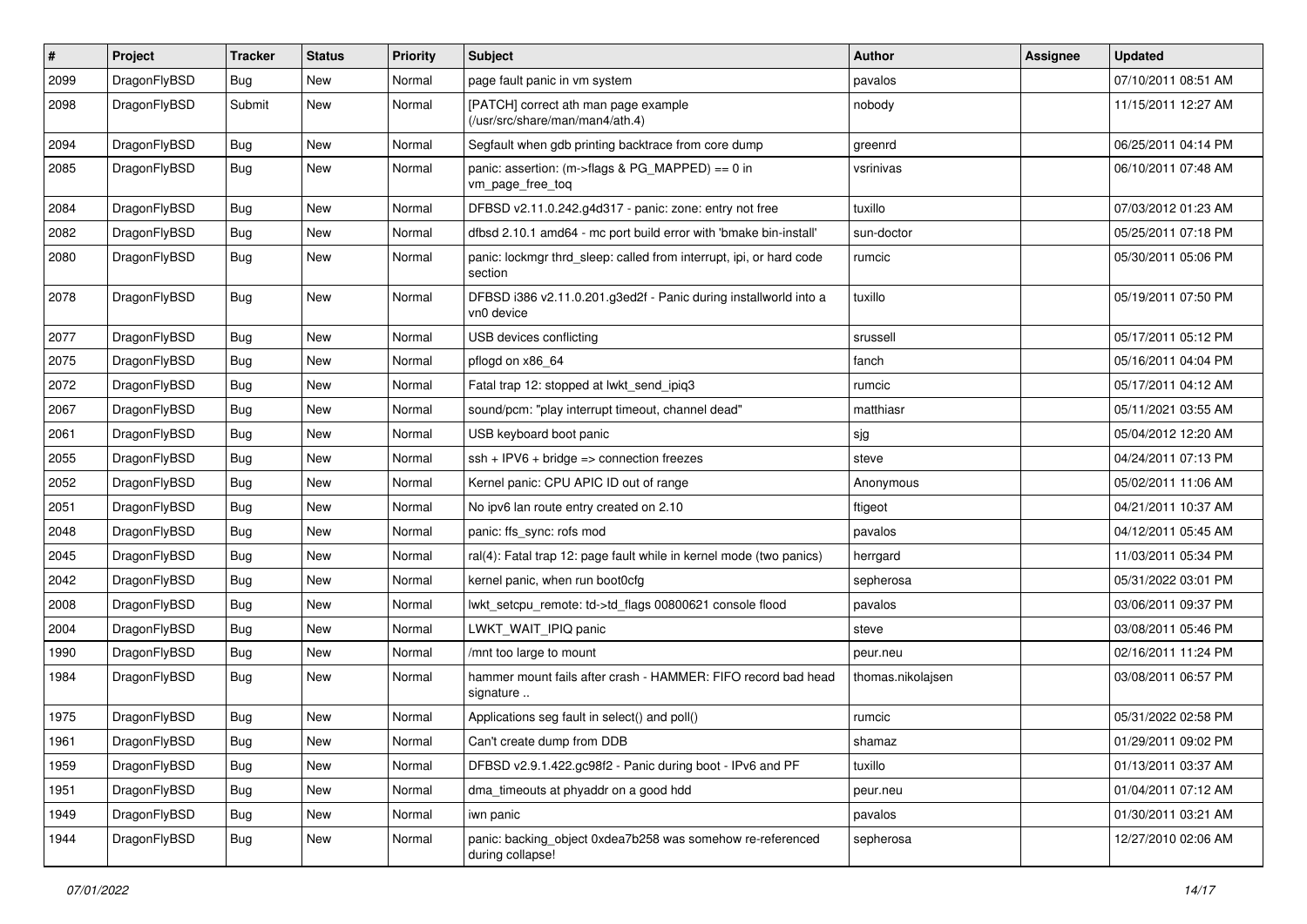| $\pmb{\#}$ | Project      | <b>Tracker</b> | <b>Status</b> | <b>Priority</b> | Subject                                                                        | <b>Author</b>     | <b>Assignee</b> | <b>Updated</b>      |
|------------|--------------|----------------|---------------|-----------------|--------------------------------------------------------------------------------|-------------------|-----------------|---------------------|
| 2099       | DragonFlyBSD | Bug            | New           | Normal          | page fault panic in vm system                                                  | pavalos           |                 | 07/10/2011 08:51 AM |
| 2098       | DragonFlyBSD | Submit         | New           | Normal          | [PATCH] correct ath man page example<br>(/usr/src/share/man/man4/ath.4)        | nobody            |                 | 11/15/2011 12:27 AM |
| 2094       | DragonFlyBSD | Bug            | <b>New</b>    | Normal          | Segfault when gdb printing backtrace from core dump                            | greenrd           |                 | 06/25/2011 04:14 PM |
| 2085       | DragonFlyBSD | <b>Bug</b>     | New           | Normal          | panic: assertion: (m->flags & PG_MAPPED) == 0 in<br>vm_page_free_toq           | vsrinivas         |                 | 06/10/2011 07:48 AM |
| 2084       | DragonFlyBSD | Bug            | <b>New</b>    | Normal          | DFBSD v2.11.0.242.g4d317 - panic: zone: entry not free                         | tuxillo           |                 | 07/03/2012 01:23 AM |
| 2082       | DragonFlyBSD | Bug            | New           | Normal          | dfbsd 2.10.1 amd64 - mc port build error with 'bmake bin-install'              | sun-doctor        |                 | 05/25/2011 07:18 PM |
| 2080       | DragonFlyBSD | Bug            | New           | Normal          | panic: lockmgr thrd_sleep: called from interrupt, ipi, or hard code<br>section | rumcic            |                 | 05/30/2011 05:06 PM |
| 2078       | DragonFlyBSD | Bug            | New           | Normal          | DFBSD i386 v2.11.0.201.g3ed2f - Panic during installworld into a<br>vn0 device | tuxillo           |                 | 05/19/2011 07:50 PM |
| 2077       | DragonFlyBSD | Bug            | <b>New</b>    | Normal          | USB devices conflicting                                                        | srussell          |                 | 05/17/2011 05:12 PM |
| 2075       | DragonFlyBSD | Bug            | New           | Normal          | pflogd on x86 64                                                               | fanch             |                 | 05/16/2011 04:04 PM |
| 2072       | DragonFlyBSD | Bug            | New           | Normal          | Fatal trap 12: stopped at lwkt_send_ipiq3                                      | rumcic            |                 | 05/17/2011 04:12 AM |
| 2067       | DragonFlyBSD | Bug            | New           | Normal          | sound/pcm: "play interrupt timeout, channel dead"                              | matthiasr         |                 | 05/11/2021 03:55 AM |
| 2061       | DragonFlyBSD | Bug            | <b>New</b>    | Normal          | USB keyboard boot panic                                                        | sjg               |                 | 05/04/2012 12:20 AM |
| 2055       | DragonFlyBSD | Bug            | <b>New</b>    | Normal          | $ssh + IPV6 + bridge \Rightarrow connection freezes$                           | steve             |                 | 04/24/2011 07:13 PM |
| 2052       | DragonFlyBSD | Bug            | New           | Normal          | Kernel panic: CPU APIC ID out of range                                         | Anonymous         |                 | 05/02/2011 11:06 AM |
| 2051       | DragonFlyBSD | Bug            | New           | Normal          | No ipv6 lan route entry created on 2.10                                        | ftigeot           |                 | 04/21/2011 10:37 AM |
| 2048       | DragonFlyBSD | Bug            | New           | Normal          | panic: ffs_sync: rofs mod                                                      | pavalos           |                 | 04/12/2011 05:45 AM |
| 2045       | DragonFlyBSD | Bug            | <b>New</b>    | Normal          | ral(4): Fatal trap 12: page fault while in kernel mode (two panics)            | herrgard          |                 | 11/03/2011 05:34 PM |
| 2042       | DragonFlyBSD | Bug            | New           | Normal          | kernel panic, when run boot0cfg                                                | sepherosa         |                 | 05/31/2022 03:01 PM |
| 2008       | DragonFlyBSD | Bug            | <b>New</b>    | Normal          | lwkt_setcpu_remote: td->td_flags 00800621 console flood                        | pavalos           |                 | 03/06/2011 09:37 PM |
| 2004       | DragonFlyBSD | Bug            | New           | Normal          | LWKT_WAIT_IPIQ panic                                                           | steve             |                 | 03/08/2011 05:46 PM |
| 1990       | DragonFlyBSD | <b>Bug</b>     | <b>New</b>    | Normal          | /mnt too large to mount                                                        | peur.neu          |                 | 02/16/2011 11:24 PM |
| 1984       | DragonFlyBSD | Bug            | <b>New</b>    | Normal          | hammer mount fails after crash - HAMMER: FIFO record bad head<br>signature     | thomas.nikolajsen |                 | 03/08/2011 06:57 PM |
| 1975       | DragonFlyBSD | <b>Bug</b>     | New           | Normal          | Applications seg fault in select() and poll()                                  | rumcic            |                 | 05/31/2022 02:58 PM |
| 1961       | DragonFlyBSD | <b>Bug</b>     | New           | Normal          | Can't create dump from DDB                                                     | snamaz            |                 | 01/29/2011 09:02 PM |
| 1959       | DragonFlyBSD | Bug            | New           | Normal          | DFBSD v2.9.1.422.gc98f2 - Panic during boot - IPv6 and PF                      | tuxillo           |                 | 01/13/2011 03:37 AM |
| 1951       | DragonFlyBSD | <b>Bug</b>     | New           | Normal          | dma_timeouts at phyaddr on a good hdd                                          | peur.neu          |                 | 01/04/2011 07:12 AM |
| 1949       | DragonFlyBSD | Bug            | New           | Normal          | iwn panic                                                                      | pavalos           |                 | 01/30/2011 03:21 AM |
| 1944       | DragonFlyBSD | <b>Bug</b>     | New           | Normal          | panic: backing_object 0xdea7b258 was somehow re-referenced<br>during collapse! | sepherosa         |                 | 12/27/2010 02:06 AM |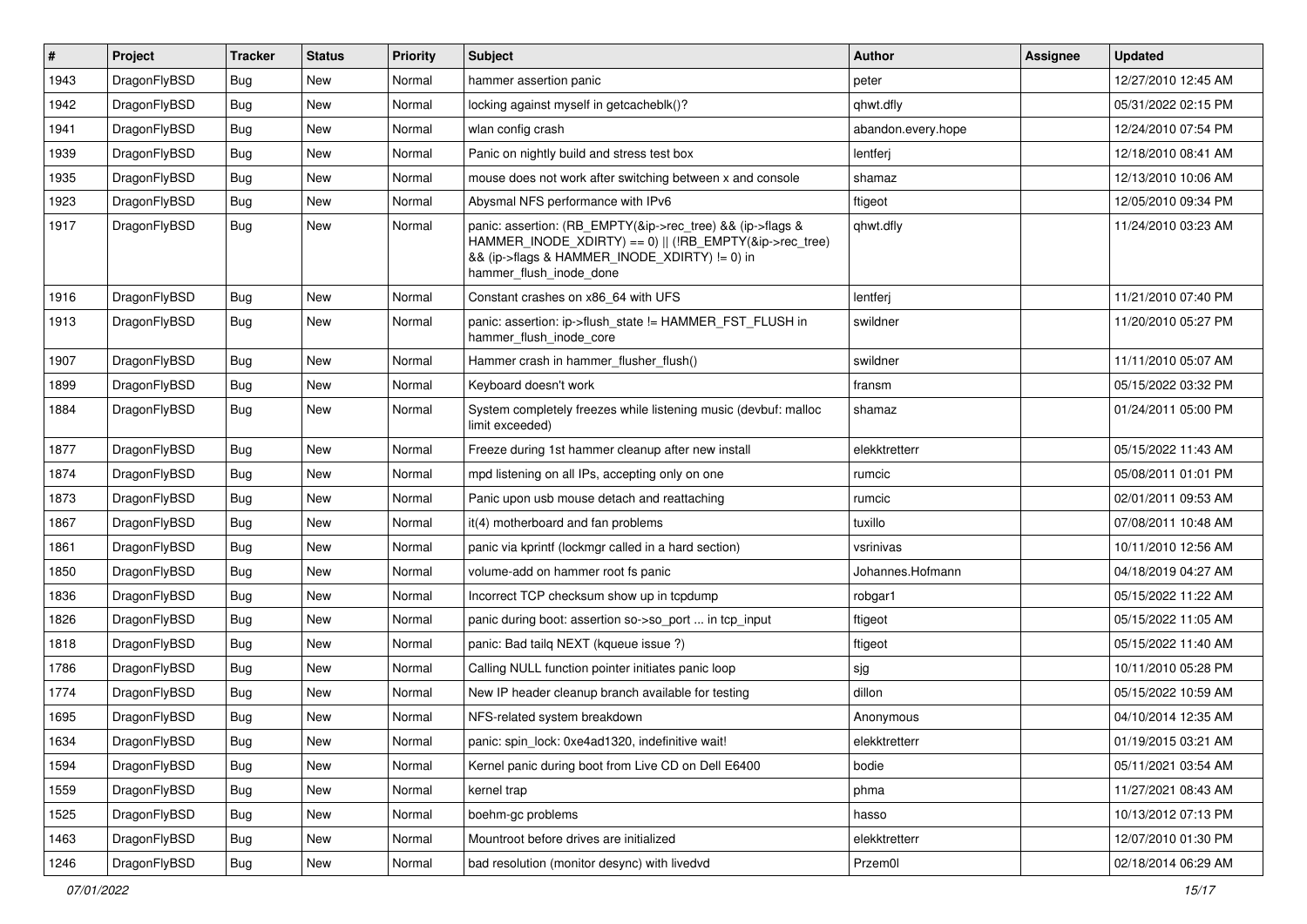| $\vert$ # | Project      | <b>Tracker</b> | <b>Status</b> | <b>Priority</b> | <b>Subject</b>                                                                                                                                                                                    | <b>Author</b>      | Assignee | <b>Updated</b>      |
|-----------|--------------|----------------|---------------|-----------------|---------------------------------------------------------------------------------------------------------------------------------------------------------------------------------------------------|--------------------|----------|---------------------|
| 1943      | DragonFlyBSD | Bug            | <b>New</b>    | Normal          | hammer assertion panic                                                                                                                                                                            | peter              |          | 12/27/2010 12:45 AM |
| 1942      | DragonFlyBSD | Bug            | <b>New</b>    | Normal          | locking against myself in getcacheblk()?                                                                                                                                                          | qhwt.dfly          |          | 05/31/2022 02:15 PM |
| 1941      | DragonFlyBSD | <b>Bug</b>     | <b>New</b>    | Normal          | wlan config crash                                                                                                                                                                                 | abandon.every.hope |          | 12/24/2010 07:54 PM |
| 1939      | DragonFlyBSD | Bug            | <b>New</b>    | Normal          | Panic on nightly build and stress test box                                                                                                                                                        | lentferj           |          | 12/18/2010 08:41 AM |
| 1935      | DragonFlyBSD | <b>Bug</b>     | <b>New</b>    | Normal          | mouse does not work after switching between x and console                                                                                                                                         | shamaz             |          | 12/13/2010 10:06 AM |
| 1923      | DragonFlyBSD | <b>Bug</b>     | New           | Normal          | Abysmal NFS performance with IPv6                                                                                                                                                                 | ftigeot            |          | 12/05/2010 09:34 PM |
| 1917      | DragonFlyBSD | Bug            | <b>New</b>    | Normal          | panic: assertion: (RB_EMPTY(&ip->rec_tree) && (ip->flags &<br>HAMMER_INODE_XDIRTY) == 0)    (!RB_EMPTY(&ip->rec_tree)<br>&& (ip->flags & HAMMER_INODE_XDIRTY) != 0) in<br>hammer_flush_inode_done | qhwt.dfly          |          | 11/24/2010 03:23 AM |
| 1916      | DragonFlyBSD | <b>Bug</b>     | <b>New</b>    | Normal          | Constant crashes on x86_64 with UFS                                                                                                                                                               | lentferj           |          | 11/21/2010 07:40 PM |
| 1913      | DragonFlyBSD | Bug            | New           | Normal          | panic: assertion: ip->flush_state != HAMMER_FST_FLUSH in<br>hammer_flush_inode_core                                                                                                               | swildner           |          | 11/20/2010 05:27 PM |
| 1907      | DragonFlyBSD | Bug            | <b>New</b>    | Normal          | Hammer crash in hammer_flusher_flush()                                                                                                                                                            | swildner           |          | 11/11/2010 05:07 AM |
| 1899      | DragonFlyBSD | Bug            | <b>New</b>    | Normal          | Keyboard doesn't work                                                                                                                                                                             | fransm             |          | 05/15/2022 03:32 PM |
| 1884      | DragonFlyBSD | <b>Bug</b>     | New           | Normal          | System completely freezes while listening music (devbuf: malloc<br>limit exceeded)                                                                                                                | shamaz             |          | 01/24/2011 05:00 PM |
| 1877      | DragonFlyBSD | Bug            | <b>New</b>    | Normal          | Freeze during 1st hammer cleanup after new install                                                                                                                                                | elekktretterr      |          | 05/15/2022 11:43 AM |
| 1874      | DragonFlyBSD | <b>Bug</b>     | <b>New</b>    | Normal          | mpd listening on all IPs, accepting only on one                                                                                                                                                   | rumcic             |          | 05/08/2011 01:01 PM |
| 1873      | DragonFlyBSD | Bug            | New           | Normal          | Panic upon usb mouse detach and reattaching                                                                                                                                                       | rumcic             |          | 02/01/2011 09:53 AM |
| 1867      | DragonFlyBSD | <b>Bug</b>     | <b>New</b>    | Normal          | it(4) motherboard and fan problems                                                                                                                                                                | tuxillo            |          | 07/08/2011 10:48 AM |
| 1861      | DragonFlyBSD | <b>Bug</b>     | <b>New</b>    | Normal          | panic via kprintf (lockmgr called in a hard section)                                                                                                                                              | vsrinivas          |          | 10/11/2010 12:56 AM |
| 1850      | DragonFlyBSD | Bug            | <b>New</b>    | Normal          | volume-add on hammer root fs panic                                                                                                                                                                | Johannes.Hofmann   |          | 04/18/2019 04:27 AM |
| 1836      | DragonFlyBSD | Bug            | <b>New</b>    | Normal          | Incorrect TCP checksum show up in tcpdump                                                                                                                                                         | robgar1            |          | 05/15/2022 11:22 AM |
| 1826      | DragonFlyBSD | Bug            | <b>New</b>    | Normal          | panic during boot: assertion so->so_port  in tcp_input                                                                                                                                            | ftigeot            |          | 05/15/2022 11:05 AM |
| 1818      | DragonFlyBSD | Bug            | <b>New</b>    | Normal          | panic: Bad tailq NEXT (kqueue issue ?)                                                                                                                                                            | ftigeot            |          | 05/15/2022 11:40 AM |
| 1786      | DragonFlyBSD | Bug            | <b>New</b>    | Normal          | Calling NULL function pointer initiates panic loop                                                                                                                                                | sjg                |          | 10/11/2010 05:28 PM |
| 1774      | DragonFlyBSD | Bug            | <b>New</b>    | Normal          | New IP header cleanup branch available for testing                                                                                                                                                | dillon             |          | 05/15/2022 10:59 AM |
| 1695      | DragonFlyBSD | <b>Bug</b>     | <b>New</b>    | Normal          | NFS-related system breakdown                                                                                                                                                                      | Anonymous          |          | 04/10/2014 12:35 AM |
| 1634      | DragonFlyBSD | <b>Bug</b>     | New           | Normal          | panic: spin_lock: 0xe4ad1320, indefinitive wait!                                                                                                                                                  | elekktretterr      |          | 01/19/2015 03:21 AM |
| 1594      | DragonFlyBSD | Bug            | <b>New</b>    | Normal          | Kernel panic during boot from Live CD on Dell E6400                                                                                                                                               | bodie              |          | 05/11/2021 03:54 AM |
| 1559      | DragonFlyBSD | <b>Bug</b>     | New           | Normal          | kernel trap                                                                                                                                                                                       | phma               |          | 11/27/2021 08:43 AM |
| 1525      | DragonFlyBSD | <b>Bug</b>     | New           | Normal          | boehm-gc problems                                                                                                                                                                                 | hasso              |          | 10/13/2012 07:13 PM |
| 1463      | DragonFlyBSD | Bug            | New           | Normal          | Mountroot before drives are initialized                                                                                                                                                           | elekktretterr      |          | 12/07/2010 01:30 PM |
| 1246      | DragonFlyBSD | <b>Bug</b>     | New           | Normal          | bad resolution (monitor desync) with livedvd                                                                                                                                                      | Przem0l            |          | 02/18/2014 06:29 AM |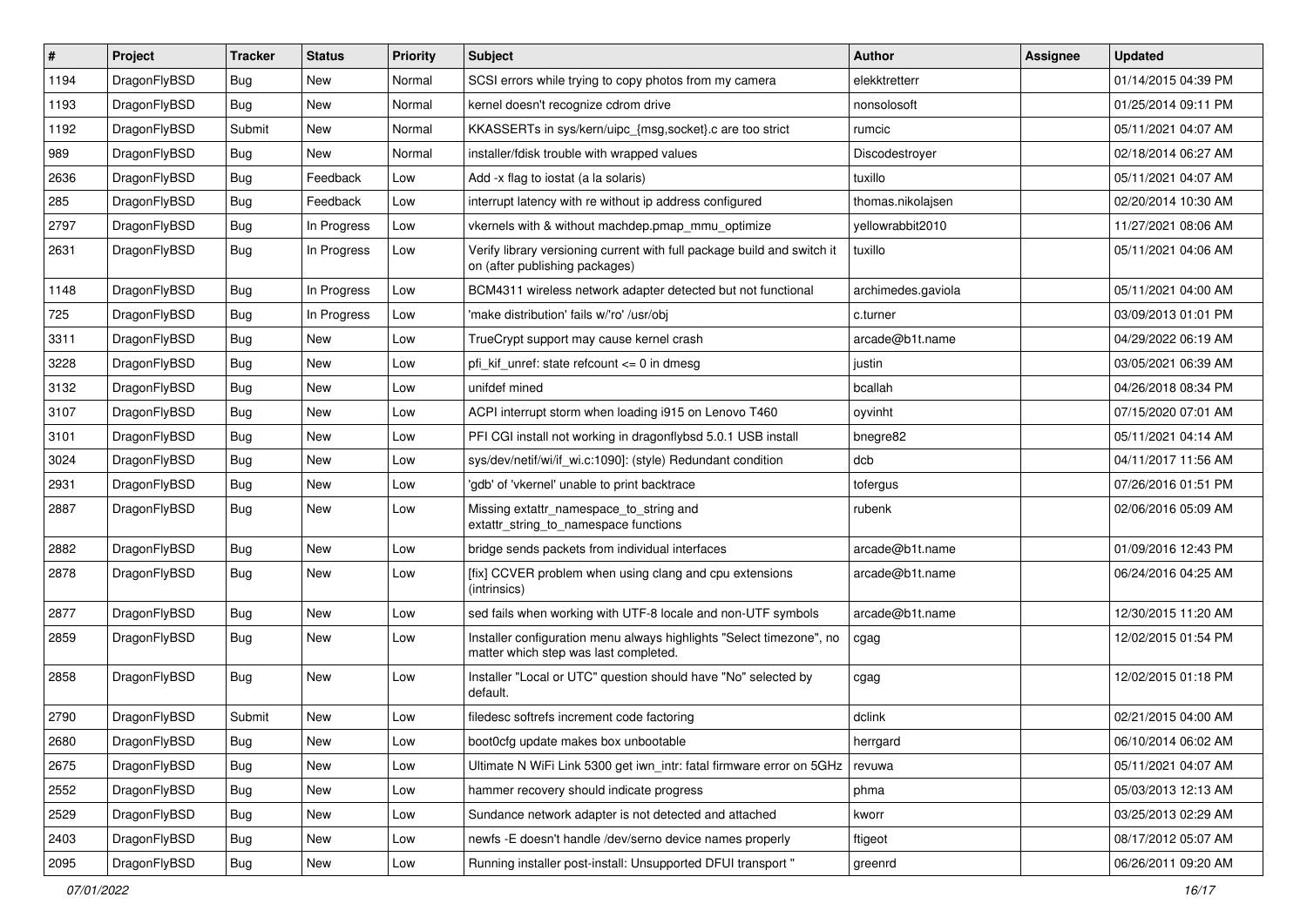| #    | Project      | <b>Tracker</b> | <b>Status</b> | <b>Priority</b> | <b>Subject</b>                                                                                                | <b>Author</b>      | Assignee | <b>Updated</b>      |
|------|--------------|----------------|---------------|-----------------|---------------------------------------------------------------------------------------------------------------|--------------------|----------|---------------------|
| 1194 | DragonFlyBSD | <b>Bug</b>     | <b>New</b>    | Normal          | SCSI errors while trying to copy photos from my camera                                                        | elekktretterr      |          | 01/14/2015 04:39 PM |
| 1193 | DragonFlyBSD | Bug            | <b>New</b>    | Normal          | kernel doesn't recognize cdrom drive                                                                          | nonsolosoft        |          | 01/25/2014 09:11 PM |
| 1192 | DragonFlyBSD | Submit         | <b>New</b>    | Normal          | KKASSERTs in sys/kern/uipc_{msg,socket}.c are too strict                                                      | rumcic             |          | 05/11/2021 04:07 AM |
| 989  | DragonFlyBSD | Bug            | New           | Normal          | installer/fdisk trouble with wrapped values                                                                   | Discodestroyer     |          | 02/18/2014 06:27 AM |
| 2636 | DragonFlyBSD | <b>Bug</b>     | Feedback      | Low             | Add -x flag to iostat (a la solaris)                                                                          | tuxillo            |          | 05/11/2021 04:07 AM |
| 285  | DragonFlyBSD | <b>Bug</b>     | Feedback      | Low             | interrupt latency with re without ip address configured                                                       | thomas.nikolajsen  |          | 02/20/2014 10:30 AM |
| 2797 | DragonFlyBSD | Bug            | In Progress   | Low             | vkernels with & without machdep.pmap_mmu_optimize                                                             | yellowrabbit2010   |          | 11/27/2021 08:06 AM |
| 2631 | DragonFlyBSD | Bug            | In Progress   | Low             | Verify library versioning current with full package build and switch it<br>on (after publishing packages)     | tuxillo            |          | 05/11/2021 04:06 AM |
| 1148 | DragonFlyBSD | Bug            | In Progress   | Low             | BCM4311 wireless network adapter detected but not functional                                                  | archimedes.gaviola |          | 05/11/2021 04:00 AM |
| 725  | DragonFlyBSD | Bug            | In Progress   | Low             | 'make distribution' fails w/'ro' /usr/obj                                                                     | c.turner           |          | 03/09/2013 01:01 PM |
| 3311 | DragonFlyBSD | Bug            | <b>New</b>    | Low             | TrueCrypt support may cause kernel crash                                                                      | arcade@b1t.name    |          | 04/29/2022 06:19 AM |
| 3228 | DragonFlyBSD | Bug            | <b>New</b>    | Low             | pfi kif unref: state refcount $\leq$ 0 in dmesq                                                               | justin             |          | 03/05/2021 06:39 AM |
| 3132 | DragonFlyBSD | <b>Bug</b>     | New           | Low             | unifdef mined                                                                                                 | bcallah            |          | 04/26/2018 08:34 PM |
| 3107 | DragonFlyBSD | <b>Bug</b>     | <b>New</b>    | Low             | ACPI interrupt storm when loading i915 on Lenovo T460                                                         | oyvinht            |          | 07/15/2020 07:01 AM |
| 3101 | DragonFlyBSD | <b>Bug</b>     | <b>New</b>    | Low             | PFI CGI install not working in dragonflybsd 5.0.1 USB install                                                 | bnegre82           |          | 05/11/2021 04:14 AM |
| 3024 | DragonFlyBSD | Bug            | New           | Low             | sys/dev/netif/wi/if_wi.c:1090]: (style) Redundant condition                                                   | dcb                |          | 04/11/2017 11:56 AM |
| 2931 | DragonFlyBSD | <b>Bug</b>     | <b>New</b>    | Low             | 'gdb' of 'vkernel' unable to print backtrace                                                                  | tofergus           |          | 07/26/2016 01:51 PM |
| 2887 | DragonFlyBSD | Bug            | New           | Low             | Missing extattr_namespace_to_string and<br>extattr_string_to_namespace functions                              | rubenk             |          | 02/06/2016 05:09 AM |
| 2882 | DragonFlyBSD | <b>Bug</b>     | <b>New</b>    | Low             | bridge sends packets from individual interfaces                                                               | arcade@b1t.name    |          | 01/09/2016 12:43 PM |
| 2878 | DragonFlyBSD | Bug            | <b>New</b>    | Low             | [fix] CCVER problem when using clang and cpu extensions<br>(intrinsics)                                       | arcade@b1t.name    |          | 06/24/2016 04:25 AM |
| 2877 | DragonFlyBSD | <b>Bug</b>     | <b>New</b>    | Low             | sed fails when working with UTF-8 locale and non-UTF symbols                                                  | arcade@b1t.name    |          | 12/30/2015 11:20 AM |
| 2859 | DragonFlyBSD | Bug            | <b>New</b>    | Low             | Installer configuration menu always highlights "Select timezone", no<br>matter which step was last completed. | cgag               |          | 12/02/2015 01:54 PM |
| 2858 | DragonFlyBSD | Bug            | New           | Low             | Installer "Local or UTC" question should have "No" selected by<br>default.                                    | cgag               |          | 12/02/2015 01:18 PM |
| 2790 | DragonFlyBSD | Submit         | <b>New</b>    | Low             | filedesc softrefs increment code factoring                                                                    | dclink             |          | 02/21/2015 04:00 AM |
| 2680 | DragonFlyBSD | <b>Bug</b>     | New           | Low             | boot0cfg update makes box unbootable                                                                          | herrgard           |          | 06/10/2014 06:02 AM |
| 2675 | DragonFlyBSD | Bug            | <b>New</b>    | Low             | Ultimate N WiFi Link 5300 get iwn_intr: fatal firmware error on 5GHz                                          | revuwa             |          | 05/11/2021 04:07 AM |
| 2552 | DragonFlyBSD | <b>Bug</b>     | New           | Low             | hammer recovery should indicate progress                                                                      | phma               |          | 05/03/2013 12:13 AM |
| 2529 | DragonFlyBSD | <b>Bug</b>     | New           | Low             | Sundance network adapter is not detected and attached                                                         | kworr              |          | 03/25/2013 02:29 AM |
| 2403 | DragonFlyBSD | Bug            | New           | Low             | newfs -E doesn't handle /dev/serno device names properly                                                      | ftigeot            |          | 08/17/2012 05:07 AM |
| 2095 | DragonFlyBSD | Bug            | New           | Low             | Running installer post-install: Unsupported DFUI transport "                                                  | greenrd            |          | 06/26/2011 09:20 AM |